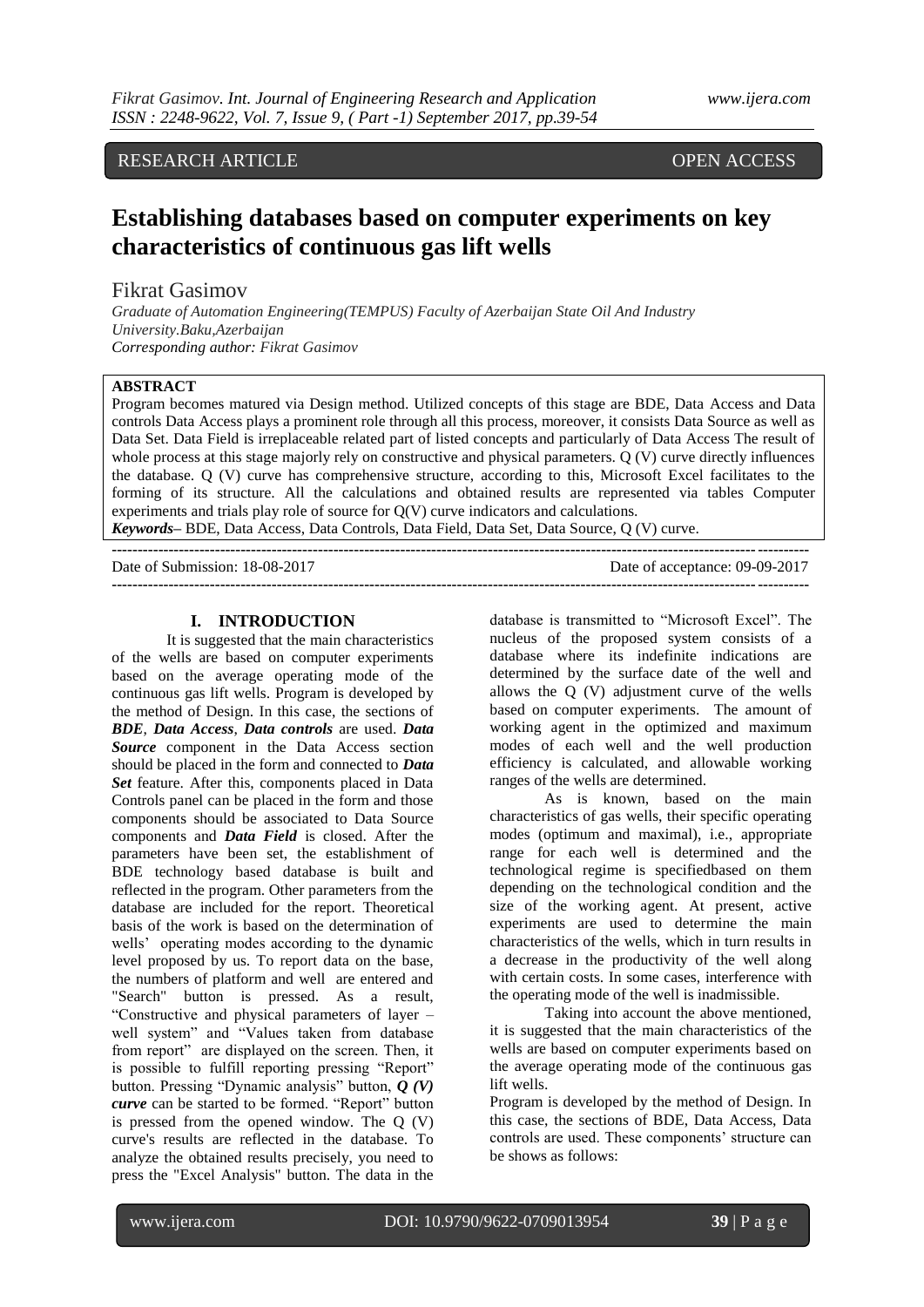# RESEARCH ARTICLE **OPEN ACCESS**

# **Establishing databases based on computer experiments on key characteristics of continuous gas lift wells**

# Fikrat Gasimov

*Graduate of Automation Engineering(TEMPUS) Faculty of Azerbaijan State Oil And Industry University.Baku,Azerbaijan Corresponding author: Fikrat Gasimov*

## **ABSTRACT**

Program becomes matured via Design method. Utilized concepts of this stage are BDE, Data Access and Data controls Data Access plays a prominent role through all this process, moreover, it consists Data Source as well as Data Set. Data Field is irreplaceable related part of listed concepts and particularly of Data Access The result of whole process at this stage majorly rely on constructive and physical parameters. Q (V) curve directly influences the database. Q (V) curve has comprehensive structure, according to this, Microsoft Excel facilitates to the forming of its structure. All the calculations and obtained results are represented via tables Computer experiments and trials play role of source for Q(V) curve indicators and calculations. *Keywords***–** BDE, Data Access, Data Controls, Data Field, Data Set, Data Source, Q (V) curve.

**---------------------------------------------------------------------------------------------------------------------------------------**

Date of Submission: 18-08-2017 Date of acceptance: 09-09-2017 **---------------------------------------------------------------------------------------------------------------------------------------**

#### **I. INTRODUCTION**

It is suggested that the main characteristics of the wells are based on computer experiments based on the average operating mode of the continuous gas lift wells. Program is developed by the method of Design. In this case, the sections of *BDE*, *Data Access*, *Data controls* are used. *Data Source* component in the Data Access section should be placed in the form and connected to *Data Set* feature. After this, components placed in Data Controls panel can be placed in the form and those components should be associated to Data Source components and *Data Field* is closed. After the parameters have been set, the establishment of BDE technology based database is built and reflected in the program. Other parameters from the database are included for the report. Theoretical basis of the work is based on the determination of wells' operating modes according to the dynamic level proposed by us. To report data on the base, the numbers of platform and well are entered and "Search" button is pressed. As a result, "Constructive and physical parameters of layer – well system" and "Values taken from database from report" are displayed on the screen. Then, it is possible to fulfill reporting pressing "Report" button. Pressing "Dynamic analysis" button, *Q (V) curve* can be started to be formed. "Report" button is pressed from the opened window. The Q (V) curve's results are reflected in the database. To analyze the obtained results precisely, you need to press the "Excel Analysis" button. The data in the

database is transmitted to "Microsoft Excel". The nucleus of the proposed system consists of a database where its indefinite indications are determined by the surface date of the well and allows the Q (V) adjustment curve of the wells based on computer experiments. The amount of working agent in the optimized and maximum modes of each well and the well production efficiency is calculated, and allowable working ranges of the wells are determined.

As is known, based on the main characteristics of gas wells, their specific operating modes (optimum and maximal), i.e., appropriate range for each well is determined and the technological regime is specifiedbased on them depending on the technological condition and the size of the working agent. At present, active experiments are used to determine the main characteristics of the wells, which in turn results in a decrease in the productivity of the well along with certain costs. In some cases, interference with the operating mode of the well is inadmissible.

Taking into account the above mentioned, it is suggested that the main characteristics of the wells are based on computer experiments based on the average operating mode of the continuous gas lift wells.

Program is developed by the method of Design. In this case, the sections of BDE, Data Access, Data controls are used. These components' structure can be shows as follows: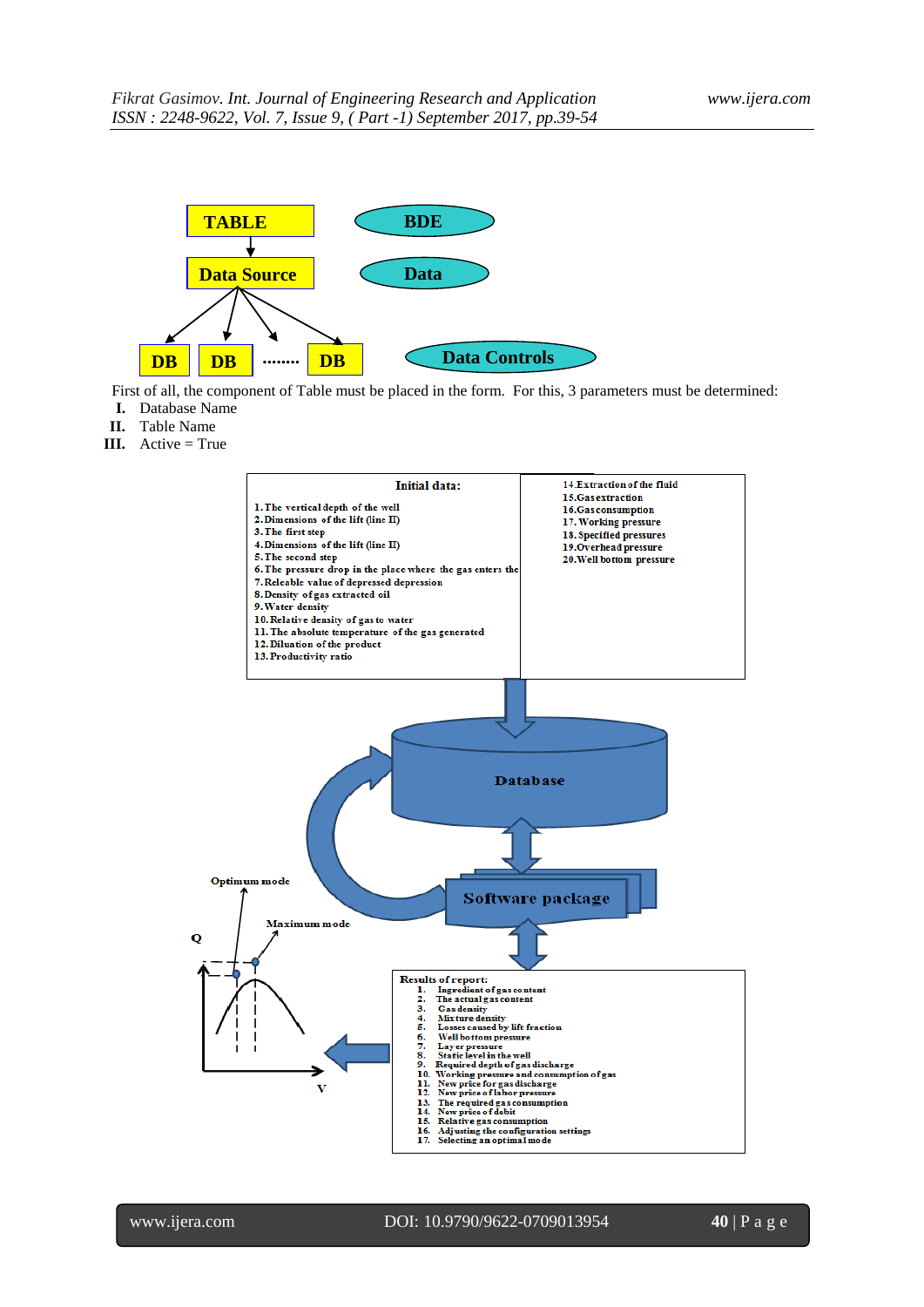

First of all, the component of Table must be placed in the form. For this, 3 parameters must be determined: **I.** Database Name **d**

- **II.** Table Name
- **III.** Active = True

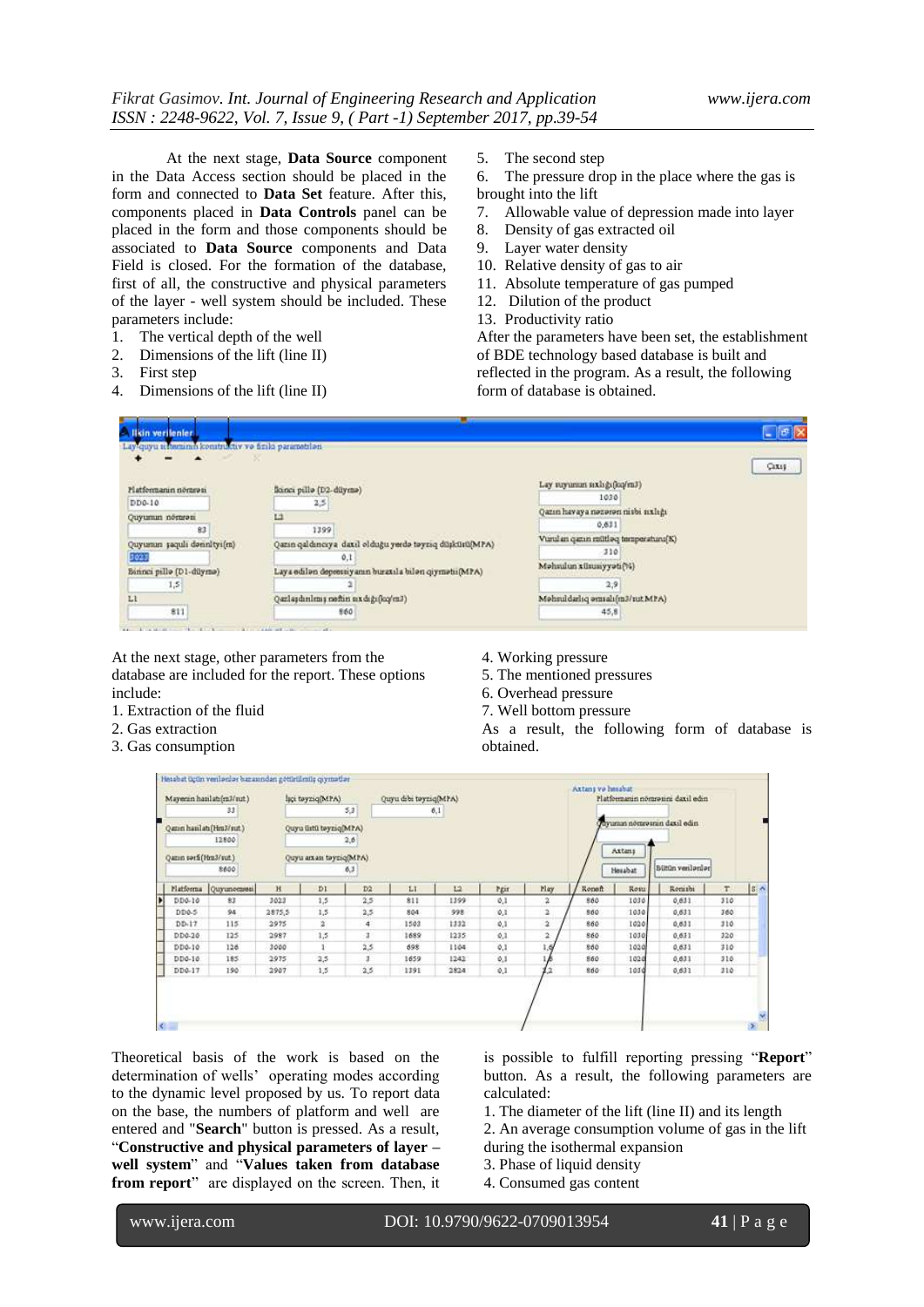At the next stage, **Data Source** component in the Data Access section should be placed in the form and connected to **Data Set** feature. After this, components placed in **Data Controls** panel can be placed in the form and those components should be associated to **Data Source** components and Data Field is closed. For the formation of the database, first of all, the constructive and physical parameters of the layer - well system should be included. These parameters include:

- 1. The vertical depth of the well
- 2. Dimensions of the lift (line II)
- 3. First step
- 4. Dimensions of the lift (line II)

5. The second step

6. The pressure drop in the place where the gas is brought into the lift

- 7. Allowable value of depression made into layer
- 8. Density of gas extracted oil
- 9. Layer water density
- 10. Relative density of gas to air
- 11. Absolute temperature of gas pumped
- 12. Dilution of the product
- 13. Productivity ratio

After the parameters have been set, the establishment of BDE technology based database is built and reflected in the program. As a result, the following form of database is obtained.

| Lay-quyu ichaminin konstruktiv və fizilə parametrləri- |                                                         |                                     | $-1$   |
|--------------------------------------------------------|---------------------------------------------------------|-------------------------------------|--------|
|                                                        |                                                         |                                     | Cixis: |
| Platformanin nömran                                    | flonci pillo (D2-diiymo)                                | Lay suyunun sıxlığı(kq/mJ)          |        |
| $DD0-10$                                               | 2,5                                                     | 1030                                |        |
| Quyumun nömrəsi                                        | ĽĴ                                                      | Qazın havaya nəzərən nivbi nxlığı   |        |
| 83                                                     | 1399                                                    | 0,631                               |        |
| Quyumın şaqulı dənnityi(m)                             | Qazın qaldıncıya daxil olduğu yerdə təyziq düşküsü(MPA) | Vurulan qazın mütləq temperaturu[K] |        |
| 3023                                                   | 0.1                                                     | $-310$                              |        |
| Bannei pillo (D1-dilymo)                               | Laya edilən depressiyanın buraxıla bilən qiymətii(MPA)  | Məhndun xünunyyəti(%)               |        |
| 1,5                                                    |                                                         | 2,9                                 |        |
| Ll                                                     | Qazlaşdınlımış neftin axdığı(kq/m3)                     | Mohruldarlıq omsalı(m3/sut MPA)     |        |
| 811                                                    | 860                                                     | 45,8                                |        |

At the next stage, other parameters from the database are included for the report. These options include:

- 1. Extraction of the fluid
- 2. Gas extraction
- 3. Gas consumption
- 4. Working pressure
- 5. The mentioned pressures
- 6. Overhead pressure
- 7. Well bottom pressure

As a result, the following form of database is obtained.

|                       | Mayenin hasilati(m3/sut.)<br>33   |        | Isci tayziq(MPA)       | 5,3 | Quyu dibi təyziq(MPA) | 6,1  |      |                         |        |                   | Platformanin nömrəsini daxil edin |      |   |
|-----------------------|-----------------------------------|--------|------------------------|-----|-----------------------|------|------|-------------------------|--------|-------------------|-----------------------------------|------|---|
|                       | Quein hanlatı (Hm3/sut.)<br>12800 |        | Quyu üstü təyziq(MPA)  | 2,6 |                       |      |      |                         |        |                   | Ouvuman nõmeosran daxil edin      |      |   |
| Qazın sərfi(Hra3/sut) | 8600                              |        | Quyu arxan tayziq(MPA) | 6,3 |                       |      |      |                         |        | Axtens<br>Heizbat | Bütün verilərilər                 |      |   |
| Platforma             | Quyunomesi                        | H      | DI                     | D2  | LI                    | L2   | Pgir | Play                    | Report | Rosu              | Ronisbi                           | T    | s |
| $DD0-10$              | 83                                | 3023   | 1,5                    | 2.5 | 811                   | 1399 | 0.1  | 2                       | 860    | 1030              | 0,631                             | 310  |   |
| DD0-5                 | 94                                | 2875,5 | 1,5                    | 2,5 | 804                   | 998  | 0,1  | 2                       | 860    | 1030              | 0.631                             | 360  |   |
| $DD-17$               | 115                               | 2975   | ä.                     | 4   | 1503                  | 1332 | 0.1  | $\overline{\mathbf{2}}$ | 860    | 1020              | 0,631                             | 310  |   |
| DD0-20                | 125                               | 2987   | 1,5                    | з   | 1689                  | 1235 | 0,1  | 2                       | 860    | 1030              | 0,631                             | 320  |   |
| DD0-10                | 126                               | 3000   | $\mathbf{1}$           | 2,5 | 698                   | 1104 | 0.1  | 1, 6                    | 860    | 1020              | 0,631                             | 310  |   |
| $DD0-10$              | 185                               | 2975   | 2,5                    |     | 1659                  | 1242 | 0.1  |                         | 860    | 1020              | 0,631                             | 310. |   |
| DD0-17                | 190                               | 2907   | 1,5                    | 2,5 | 1391                  | 2824 | 0,1  |                         | 860    | 1030              | 0,631                             | 210  |   |

Theoretical basis of the work is based on the determination of wells' operating modes according to the dynamic level proposed by us. To report data on the base, the numbers of platform and well are entered and "**Search**" button is pressed. As a result, "**Constructive and physical parameters of layer – well system**" and "**Values taken from database from report**" are displayed on the screen. Then, it is possible to fulfill reporting pressing "**Report**" button. As a result, the following parameters are calculated:

1. The diameter of the lift (line II) and its length

- 2. An average consumption volume of gas in the lift
- during the isothermal expansion
- 3. Phase of liquid density
- 4. Consumed gas content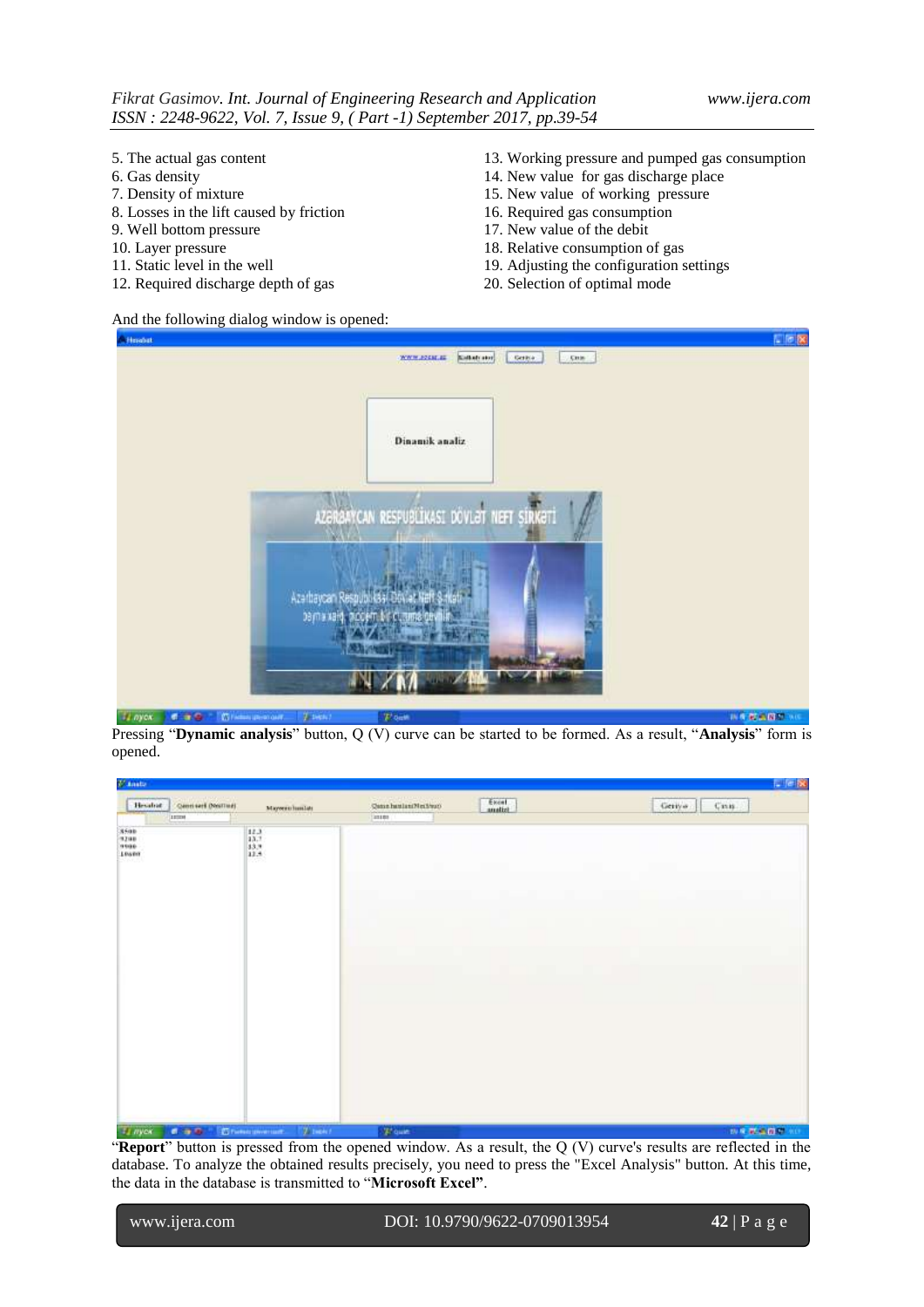- 5. The actual gas content
- 6. Gas density
- 7. Density of mixture
- 8. Losses in the lift caused by friction
- 9. Well bottom pressure
- 10. Layer pressure
- 11. Static level in the well
- 12. Required discharge depth of gas
- 13. Working pressure and pumped gas consumption
- 14. New value for gas discharge place
- 15. New value of working pressure
- 16. Required gas consumption
- 17. New value of the debit
- 18. Relative consumption of gas
- 19. Adjusting the configuration settings
- 20. Selection of optimal mode

And the following dialog window is opened:



Pressing "**Dynamic analysis**" button, Q (V) curve can be started to be formed. As a result, "**Analysis**" form is opened.

| F Anato                                                                                 |                                                                           |                           |                  | <b>L</b> Tele      |
|-----------------------------------------------------------------------------------------|---------------------------------------------------------------------------|---------------------------|------------------|--------------------|
| Quest sert (NotTlad)<br>Hessing                                                         | Mayornichanian                                                            | .<br>Qasa hastan Nections | Excel<br>analist | Geriya<br>$C = 16$ |
| 110319<br>$\begin{array}{l} 8500 \\ 1200 \\ 1000 \end{array}$<br><b>Linger</b><br>56CS. | $\begin{array}{l} 12.3 \\ 13.7 \\ 13.8 \\ 13.8 \\ 12.8 \end{array}$<br>97 | [10100]                   |                  |                    |
|                                                                                         |                                                                           |                           |                  |                    |
| <b>La myen</b><br>6.9.8                                                                 | <b>Winder</b><br><b>C</b> history private cont                            | "W quiet                  |                  | ※8 新来首都 ※6         |

"**Report**" button is pressed from the opened window. As a result, the Q (V) curve's results are reflected in the database. To analyze the obtained results precisely, you need to press the "Excel Analysis" button. At this time, the data in the database is transmitted to "**Microsoft Excel"**.

| www.ijera.com |
|---------------|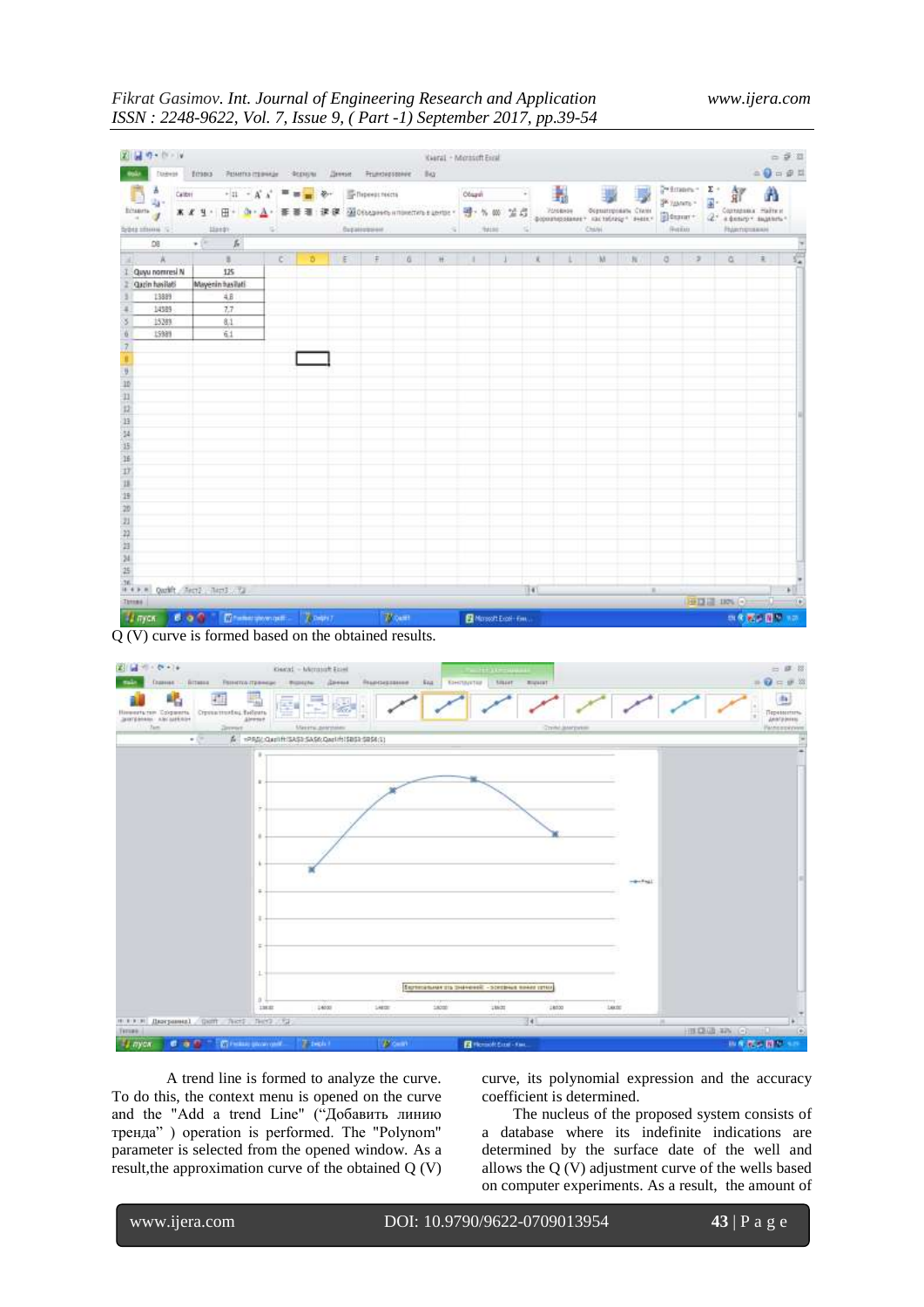## *Fikrat Gasimov. Int. Journal of Engineering Research and Application www.ijera.com ISSN : 2248-9622, Vol. 7, Issue 9, ( Part -1) September 2017, pp.39-54*

| Dailyan<br>a<br>Calibri<br>Ecuerta<br>Spine streets 12 | Егова - Рамета граници<br>$+11 - A'$<br>****<br>$H = 0.5$<br>353101                                                                                                                                                                                                                                                                                                                                                                                                       |   | - ФЕКИЦИИ<br>品. | Денеми.<br>课课 | Thipeest rects<br>бараневани | Proncisestance Bay | S. | Obsasti | ×<br>图0660mmbammenmasunger <mark>평</mark> ·% W 至启<br>74180<br>n. |      | Ł | Chile | 祕<br>Условное Форматироваты Стали<br>doportexenner vactebrage sense allesser - | SK yawars =<br>(Febb) |      | Primary E Age<br>田<br>副<br>$2^*$ steam sugar | $\begin{picture}(20,20) \put(0,0){\line(1,0){10}} \put(15,0){\line(1,0){10}} \put(15,0){\line(1,0){10}} \put(15,0){\line(1,0){10}} \put(15,0){\line(1,0){10}} \put(15,0){\line(1,0){10}} \put(15,0){\line(1,0){10}} \put(15,0){\line(1,0){10}} \put(15,0){\line(1,0){10}} \put(15,0){\line(1,0){10}} \put(15,0){\line(1,0){10}} \put(15,0){\line(1$<br>Α<br>Companies maillest<br>Runnessee |   |
|--------------------------------------------------------|---------------------------------------------------------------------------------------------------------------------------------------------------------------------------------------------------------------------------------------------------------------------------------------------------------------------------------------------------------------------------------------------------------------------------------------------------------------------------|---|-----------------|---------------|------------------------------|--------------------|----|---------|------------------------------------------------------------------|------|---|-------|--------------------------------------------------------------------------------|-----------------------|------|----------------------------------------------|---------------------------------------------------------------------------------------------------------------------------------------------------------------------------------------------------------------------------------------------------------------------------------------------------------------------------------------------------------------------------------------------|---|
| DB                                                     | $\mathbf{f}_t$<br>$+1$                                                                                                                                                                                                                                                                                                                                                                                                                                                    |   |                 |               |                              |                    |    |         |                                                                  |      |   |       |                                                                                |                       |      |                                              |                                                                                                                                                                                                                                                                                                                                                                                             |   |
| $\mathbb{R}$ $\mathbb{R}$                              | $\mathbb{E}% \left[ \left( \mathcal{N}_{1}\right) \right] ^{2}=\left( \mathcal{N}_{2}\right) ^{2}=\left( \mathcal{N}_{1}\right) ^{2}=\left( \mathcal{N}_{2}\right) ^{2}=\left( \mathcal{N}_{1}\right) ^{2}=\left( \mathcal{N}_{2}\right) ^{2}=\left( \mathcal{N}_{1}\right) ^{2}=\left( \mathcal{N}_{2}\right) ^{2}=\left( \mathcal{N}_{1}\right) ^{2}=\left( \mathcal{N}_{2}\right) ^{2}=\left( \mathcal{N}_{1}\right) ^{2}=\left( \mathcal{N}_{2}\right) ^{2}=\left( \$ | c | ъ               | E             | $\mp$                        | a.                 | 班  | ٠       |                                                                  |      |   | M     | $\mathbb{H}$                                                                   | a.                    | $-2$ | id.                                          | ä.                                                                                                                                                                                                                                                                                                                                                                                          | ĉ |
| Quyu nomresi N                                         | 125                                                                                                                                                                                                                                                                                                                                                                                                                                                                       |   |                 |               |                              |                    |    |         |                                                                  |      |   |       |                                                                                |                       |      |                                              |                                                                                                                                                                                                                                                                                                                                                                                             |   |
| Qazin havilati                                         | Mayenin hasilati                                                                                                                                                                                                                                                                                                                                                                                                                                                          |   |                 |               |                              |                    |    |         |                                                                  |      |   |       |                                                                                |                       |      |                                              |                                                                                                                                                                                                                                                                                                                                                                                             |   |
| 13899                                                  | AB                                                                                                                                                                                                                                                                                                                                                                                                                                                                        |   |                 |               |                              |                    |    |         |                                                                  |      |   |       |                                                                                |                       |      |                                              |                                                                                                                                                                                                                                                                                                                                                                                             |   |
| 14389                                                  | 7.7                                                                                                                                                                                                                                                                                                                                                                                                                                                                       |   |                 |               |                              |                    |    |         |                                                                  |      |   |       |                                                                                |                       |      |                                              |                                                                                                                                                                                                                                                                                                                                                                                             |   |
| 15289                                                  | 61                                                                                                                                                                                                                                                                                                                                                                                                                                                                        |   |                 |               |                              |                    |    |         |                                                                  |      |   |       |                                                                                |                       |      |                                              |                                                                                                                                                                                                                                                                                                                                                                                             |   |
| 15989                                                  | 61                                                                                                                                                                                                                                                                                                                                                                                                                                                                        |   |                 |               |                              |                    |    |         |                                                                  |      |   |       |                                                                                |                       |      |                                              |                                                                                                                                                                                                                                                                                                                                                                                             |   |
|                                                        |                                                                                                                                                                                                                                                                                                                                                                                                                                                                           |   |                 |               |                              |                    |    |         |                                                                  |      |   |       |                                                                                |                       |      |                                              |                                                                                                                                                                                                                                                                                                                                                                                             |   |
|                                                        |                                                                                                                                                                                                                                                                                                                                                                                                                                                                           |   |                 |               |                              |                    |    |         |                                                                  |      |   |       |                                                                                |                       |      |                                              |                                                                                                                                                                                                                                                                                                                                                                                             |   |
|                                                        |                                                                                                                                                                                                                                                                                                                                                                                                                                                                           |   |                 |               |                              |                    |    |         |                                                                  |      |   |       |                                                                                |                       |      |                                              |                                                                                                                                                                                                                                                                                                                                                                                             |   |
|                                                        |                                                                                                                                                                                                                                                                                                                                                                                                                                                                           |   |                 |               |                              |                    |    |         |                                                                  |      |   |       |                                                                                |                       |      |                                              |                                                                                                                                                                                                                                                                                                                                                                                             |   |
|                                                        |                                                                                                                                                                                                                                                                                                                                                                                                                                                                           |   |                 |               |                              |                    |    |         |                                                                  |      |   |       |                                                                                |                       |      |                                              |                                                                                                                                                                                                                                                                                                                                                                                             |   |
|                                                        |                                                                                                                                                                                                                                                                                                                                                                                                                                                                           |   |                 |               |                              |                    |    |         |                                                                  |      |   |       |                                                                                |                       |      |                                              |                                                                                                                                                                                                                                                                                                                                                                                             |   |
|                                                        |                                                                                                                                                                                                                                                                                                                                                                                                                                                                           |   |                 |               |                              |                    |    |         |                                                                  |      |   |       |                                                                                |                       |      |                                              |                                                                                                                                                                                                                                                                                                                                                                                             |   |
|                                                        |                                                                                                                                                                                                                                                                                                                                                                                                                                                                           |   |                 |               |                              |                    |    |         |                                                                  |      |   |       |                                                                                |                       |      |                                              |                                                                                                                                                                                                                                                                                                                                                                                             |   |
|                                                        |                                                                                                                                                                                                                                                                                                                                                                                                                                                                           |   |                 |               |                              |                    |    |         |                                                                  |      |   |       |                                                                                |                       |      |                                              |                                                                                                                                                                                                                                                                                                                                                                                             |   |
|                                                        |                                                                                                                                                                                                                                                                                                                                                                                                                                                                           |   |                 |               |                              |                    |    |         |                                                                  |      |   |       |                                                                                |                       |      |                                              |                                                                                                                                                                                                                                                                                                                                                                                             |   |
|                                                        |                                                                                                                                                                                                                                                                                                                                                                                                                                                                           |   |                 |               |                              |                    |    |         |                                                                  |      |   |       |                                                                                |                       |      |                                              |                                                                                                                                                                                                                                                                                                                                                                                             |   |
|                                                        |                                                                                                                                                                                                                                                                                                                                                                                                                                                                           |   |                 |               |                              |                    |    |         |                                                                  |      |   |       |                                                                                |                       |      |                                              |                                                                                                                                                                                                                                                                                                                                                                                             |   |
|                                                        |                                                                                                                                                                                                                                                                                                                                                                                                                                                                           |   |                 |               |                              |                    |    |         |                                                                  |      |   |       |                                                                                |                       |      |                                              |                                                                                                                                                                                                                                                                                                                                                                                             |   |
|                                                        |                                                                                                                                                                                                                                                                                                                                                                                                                                                                           |   |                 |               |                              |                    |    |         |                                                                  |      |   |       |                                                                                |                       |      |                                              |                                                                                                                                                                                                                                                                                                                                                                                             |   |
|                                                        |                                                                                                                                                                                                                                                                                                                                                                                                                                                                           |   |                 |               |                              |                    |    |         |                                                                  |      |   |       |                                                                                |                       |      |                                              |                                                                                                                                                                                                                                                                                                                                                                                             |   |
|                                                        |                                                                                                                                                                                                                                                                                                                                                                                                                                                                           |   |                 |               |                              |                    |    |         |                                                                  |      |   |       |                                                                                |                       |      |                                              |                                                                                                                                                                                                                                                                                                                                                                                             |   |
|                                                        |                                                                                                                                                                                                                                                                                                                                                                                                                                                                           |   |                 |               |                              |                    |    |         |                                                                  |      |   |       |                                                                                |                       |      |                                              |                                                                                                                                                                                                                                                                                                                                                                                             |   |
|                                                        |                                                                                                                                                                                                                                                                                                                                                                                                                                                                           |   |                 |               |                              |                    |    |         |                                                                  |      |   |       |                                                                                |                       |      |                                              |                                                                                                                                                                                                                                                                                                                                                                                             |   |
|                                                        |                                                                                                                                                                                                                                                                                                                                                                                                                                                                           |   |                 |               |                              |                    |    |         |                                                                  |      |   |       |                                                                                |                       |      |                                              |                                                                                                                                                                                                                                                                                                                                                                                             |   |
|                                                        | H * P.R. Quality Rent .: Rent .: Tal.                                                                                                                                                                                                                                                                                                                                                                                                                                     |   |                 |               |                              |                    |    |         |                                                                  | 1141 |   |       |                                                                                | $\sim$                |      |                                              |                                                                                                                                                                                                                                                                                                                                                                                             |   |

Q (V) curve is formed based on the obtained results.



A trend line is formed to analyze the curve. To do this, the context menu is opened on the curve and the "Add a trend Line" ("Добавить линию тренда" ) operation is performed. The "Polynom" parameter is selected from the opened window. As a result,the approximation curve of the obtained Q (V)

curve, its polynomial expression and the accuracy coefficient is determined.

 The nucleus of the proposed system consists of a database where its indefinite indications are determined by the surface date of the well and allows the Q (V) adjustment curve of the wells based on computer experiments. As a result, the amount of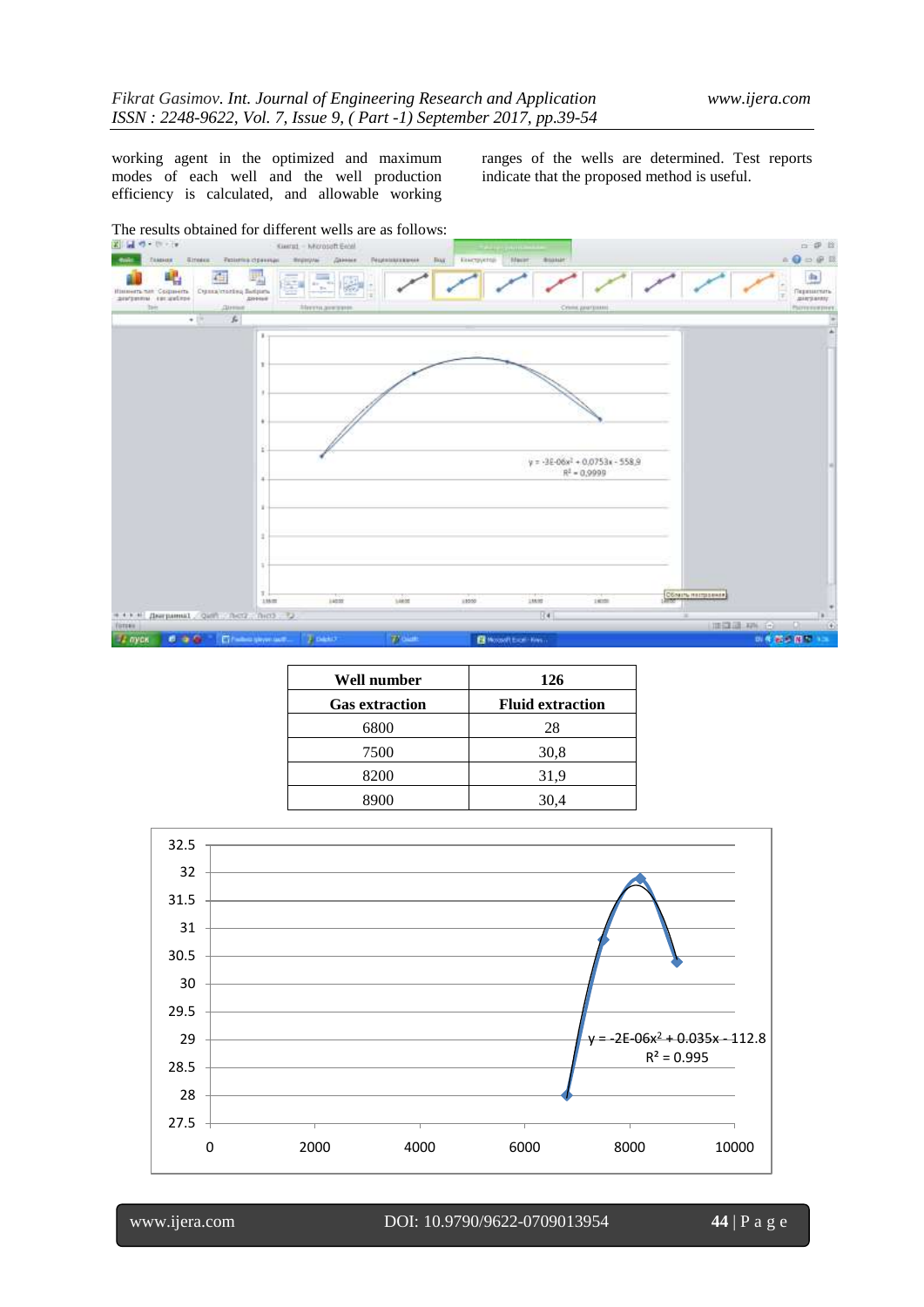working agent in the optimized and maximum modes of each well and the well production efficiency is calculated, and allowable working

ranges of the wells are determined. Test reports indicate that the proposed method is useful.



| Well number           | 126                     |
|-----------------------|-------------------------|
| <b>Gas extraction</b> | <b>Fluid extraction</b> |
| 6800                  | 28                      |
| 7500                  | 30,8                    |
| 8200                  | 31,9                    |
| 8900                  | 30,4                    |

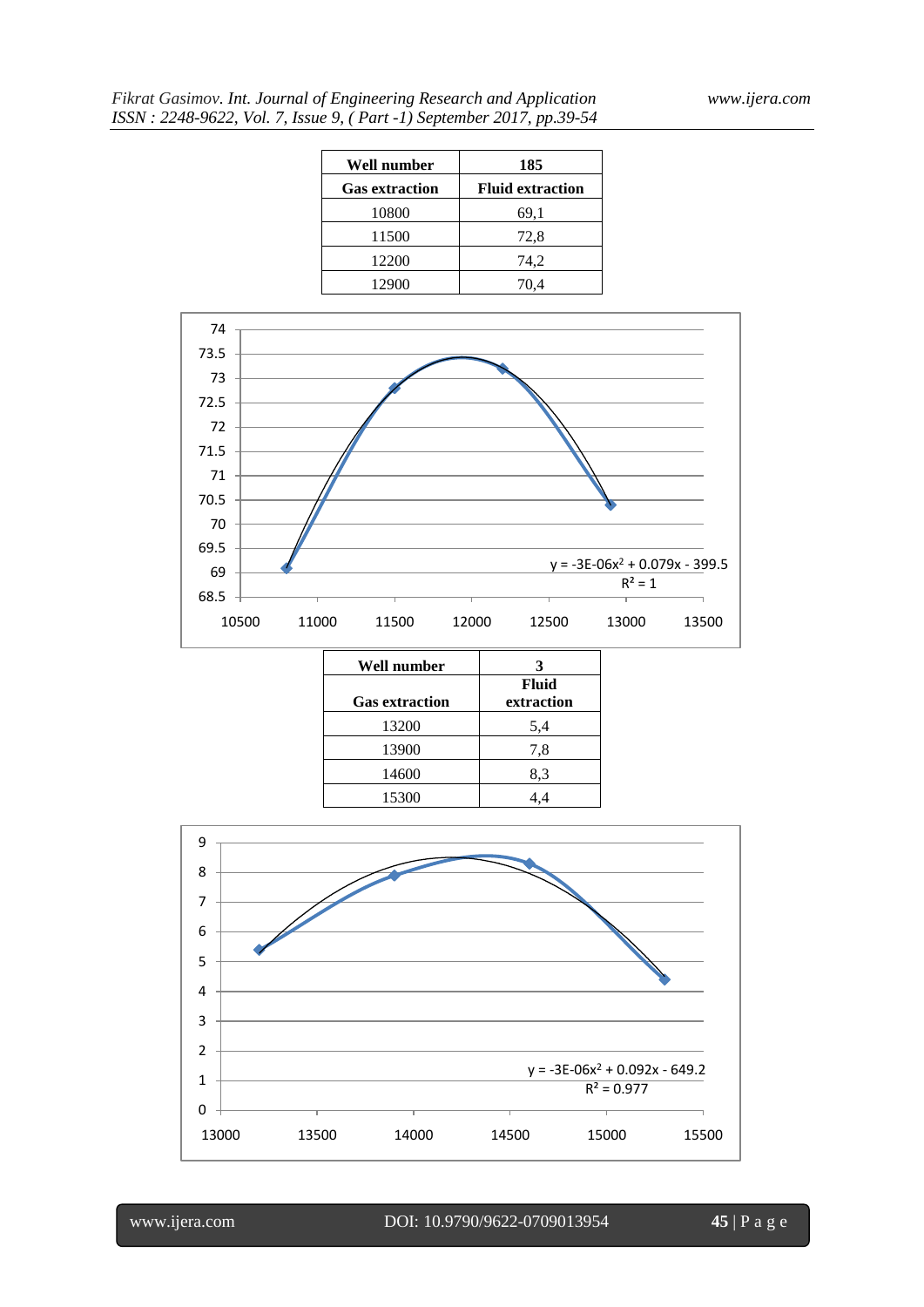| Well number           | 185                     |
|-----------------------|-------------------------|
| <b>Gas extraction</b> | <b>Fluid extraction</b> |
| 10800                 | 69,1                    |
| 11500                 | 72,8                    |
| 12200                 | 74,2                    |
| 12900                 | 70,4                    |



| Well number           |                     |
|-----------------------|---------------------|
| <b>Gas extraction</b> | Fluid<br>extraction |
| 13200                 | 5,4                 |
| 13900                 | 7,8                 |
| 14600                 | 8,3                 |
| 15300                 | 4.4                 |

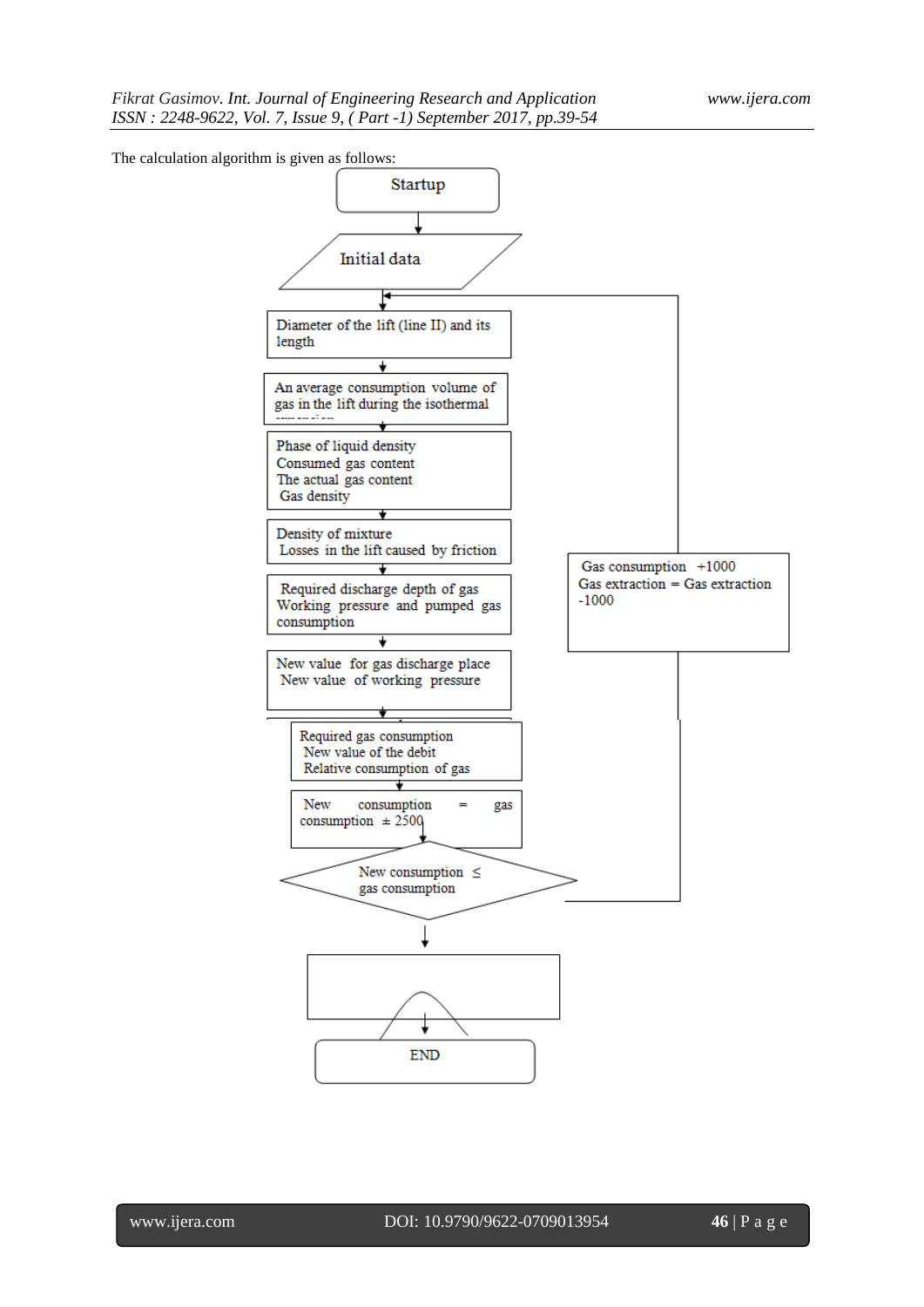The calculation algorithm is given as follows:

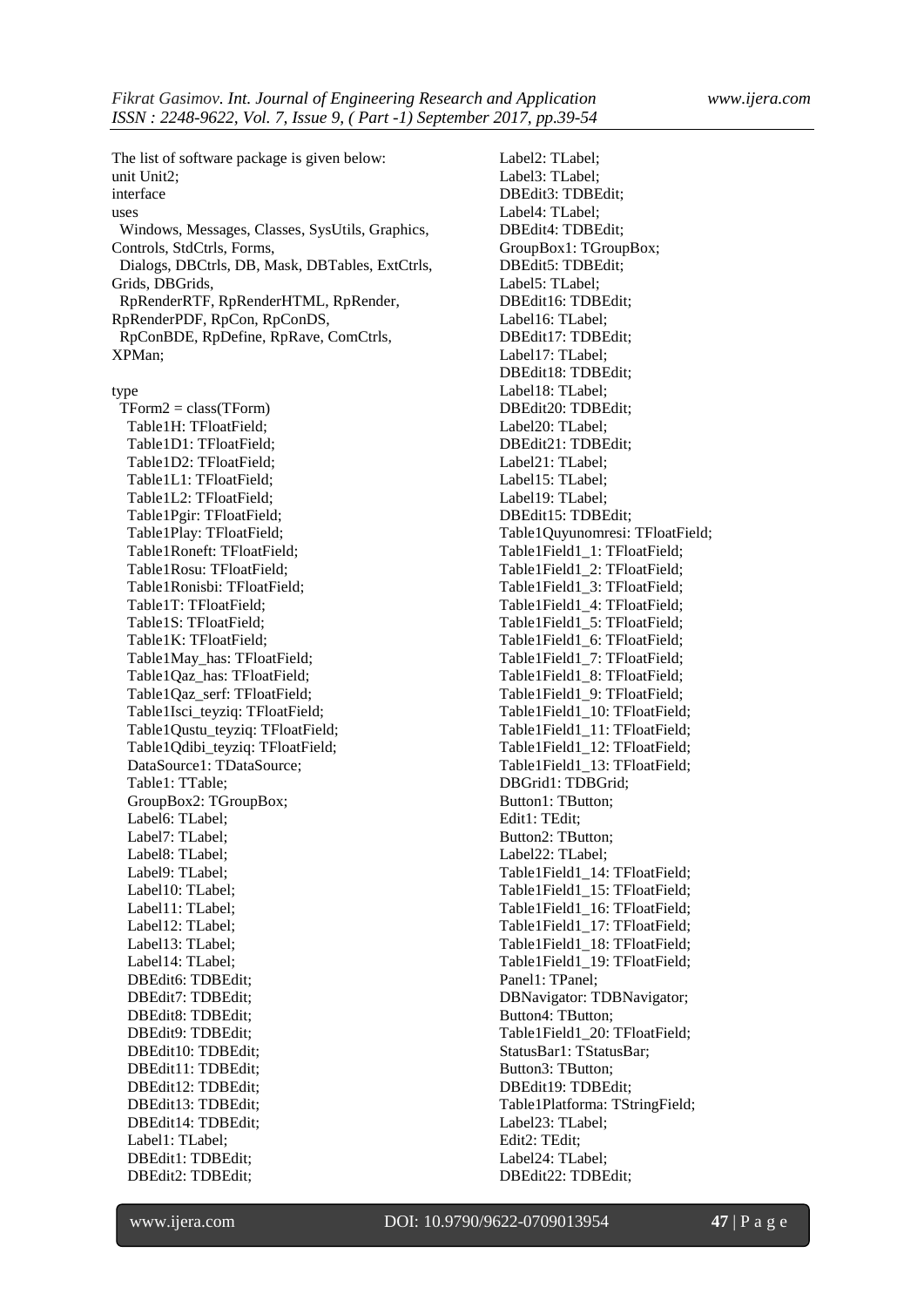The list of software package is given below: unit Unit2; interface uses Windows, Messages, Classes, SysUtils, Graphics, Controls, StdCtrls, Forms, Dialogs, DBCtrls, DB, Mask, DBTables, ExtCtrls, Grids, DBGrids, RpRenderRTF, RpRenderHTML, RpRender, RpRenderPDF, RpCon, RpConDS, RpConBDE, RpDefine, RpRave, ComCtrls, XPMan;

type

 TForm2 = class(TForm) Table1H: TFloatField; Table1D1: TFloatField; Table1D2: TFloatField; Table1L1: TFloatField; Table1L2: TFloatField; Table1Pgir: TFloatField; Table1Play: TFloatField; Table1Roneft: TFloatField; Table1Rosu: TFloatField; Table1Ronisbi: TFloatField; Table1T: TFloatField; Table1S: TFloatField; Table1K: TFloatField; Table1May\_has: TFloatField; Table1Qaz\_has: TFloatField; Table1Qaz\_serf: TFloatField; Table1Isci\_teyziq: TFloatField; Table1Qustu\_teyziq: TFloatField; Table1Qdibi\_teyziq: TFloatField; DataSource1: TDataSource; Table1: TTable; GroupBox2: TGroupBox; Label6: TLabel; Label7: TLabel; Label8: TLabel; Label9: TLabel; Label10: TLabel; Label11: TLabel; Label12: TLabel; Label13: TLabel; Label14: TLabel; DBEdit6: TDBEdit; DBEdit7: TDBEdit; DBEdit8: TDBEdit; DBEdit9: TDBEdit; DBEdit10: TDBEdit; DBEdit11: TDBEdit; DBEdit12: TDBEdit; DBEdit13: TDBEdit; DBEdit14: TDBEdit; Label1: TLabel; DBEdit1: TDBEdit; DBEdit2: TDBEdit;

 Label2: TLabel; Label3: TLabel; DBEdit3: TDBEdit; Label4: TLabel; DBEdit4: TDBEdit; GroupBox1: TGroupBox; DBEdit5: TDBEdit; Label5: TLabel; DBEdit16: TDBEdit; Label16: TLabel; DBEdit17: TDBEdit; Label17: TLabel; DBEdit18: TDBEdit; Label18: TLabel; DBEdit20: TDBEdit; Label20: TLabel; DBEdit21: TDBEdit; Label21: TLabel; Label15: TLabel; Label19: TLabel; DBEdit15: TDBEdit; Table1Quyunomresi: TFloatField; Table1Field1\_1: TFloatField; Table1Field1\_2: TFloatField; Table1Field1\_3: TFloatField; Table1Field1\_4: TFloatField; Table1Field1\_5: TFloatField; Table1Field1\_6: TFloatField; Table1Field1\_7: TFloatField; Table1Field1\_8: TFloatField; Table1Field1\_9: TFloatField; Table1Field1\_10: TFloatField; Table1Field1\_11: TFloatField; Table1Field1\_12: TFloatField; Table1Field1\_13: TFloatField; DBGrid1: TDBGrid; Button1: TButton; Edit1: TEdit; Button2: TButton; Label22: TLabel; Table1Field1\_14: TFloatField; Table1Field1\_15: TFloatField; Table1Field1\_16: TFloatField; Table1Field1\_17: TFloatField; Table1Field1\_18: TFloatField; Table1Field1\_19: TFloatField; Panel1: TPanel; DBNavigator: TDBNavigator; Button4: TButton; Table1Field1\_20: TFloatField; StatusBar1: TStatusBar; Button3: TButton; DBEdit19: TDBEdit; Table1Platforma: TStringField; Label23: TLabel; Edit2: TEdit; Label24: TLabel; DBEdit22: TDBEdit;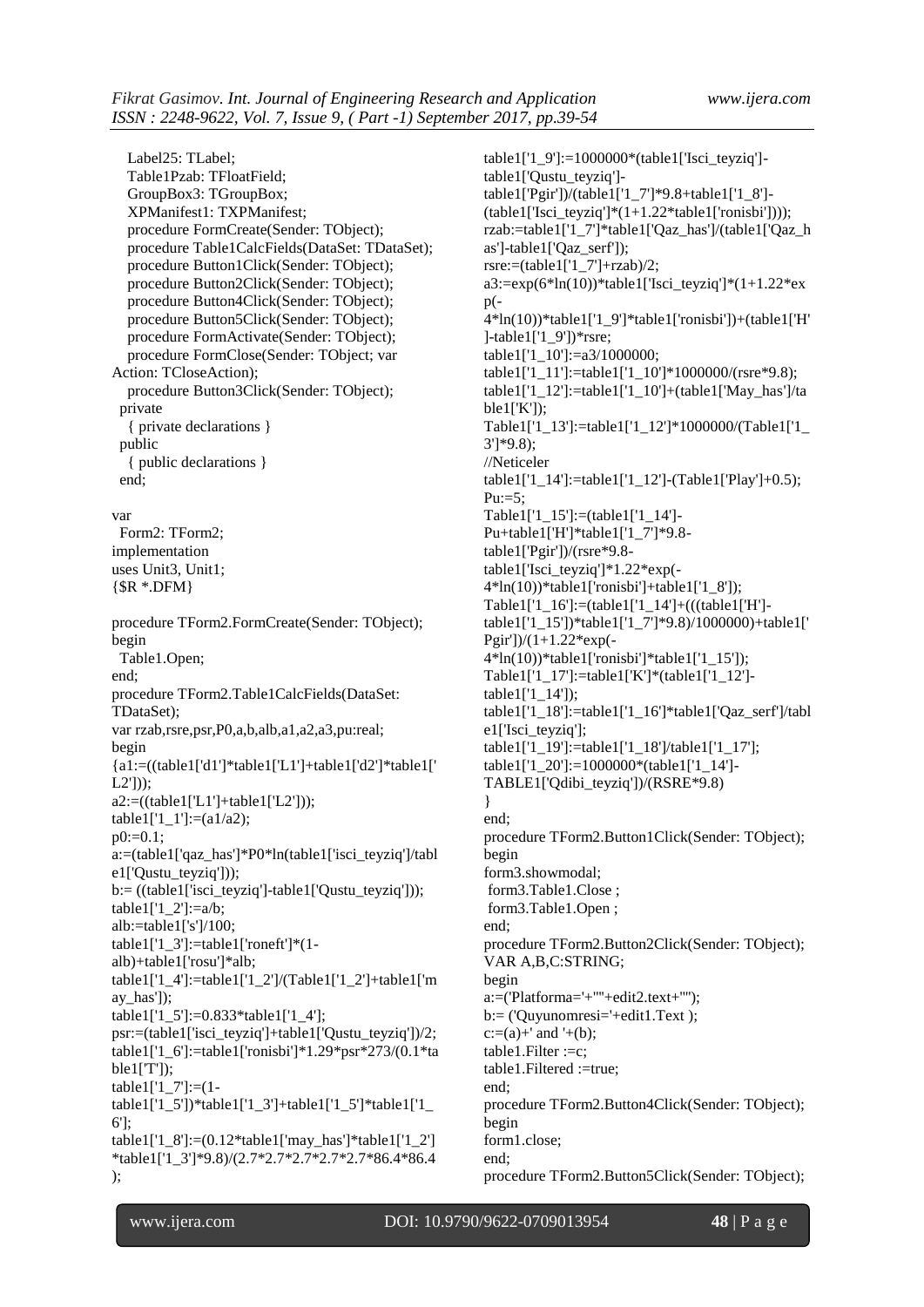Label25: TLabel; Table1Pzab: TFloatField; GroupBox3: TGroupBox; XPManifest1: TXPManifest; procedure FormCreate(Sender: TObject); procedure Table1CalcFields(DataSet: TDataSet); procedure Button1Click(Sender: TObject); procedure Button2Click(Sender: TObject); procedure Button4Click(Sender: TObject); procedure Button5Click(Sender: TObject); procedure FormActivate(Sender: TObject); procedure FormClose(Sender: TObject; var Action: TCloseAction); procedure Button3Click(Sender: TObject); private { private declarations } public { public declarations } end; var Form2: TForm2; implementation uses Unit3, Unit1;  ${$  \\$R \*.DFM } procedure TForm2.FormCreate(Sender: TObject); begin Table1.Open; end; procedure TForm2.Table1CalcFields(DataSet: TDataSet); var rzab,rsre,psr,P0,a,b,alb,a1,a2,a3,pu:real; begin {a1:=((table1['d1']\*table1['L1']+table1['d2']\*table1[' L2']));  $a2:=((table1[T1]+table1[T2']));$ table1['1\_1']:=(a1/a2);  $p0:=0.1$ ; a:=(table1['qaz\_has']\*P0\*ln(table1['isci\_teyziq']/tabl e1['Qustu\_teyziq'])); b:= ((table1['isci\_teyziq']-table1['Qustu\_teyziq']));  $table1[1_2']:=a/b;$ alb:=table1['s']/100; table1['1\_3']:=table1['roneft']\*(1alb)+table1['rosu']\*alb; table1['1\_4']:=table1['1\_2']/(Table1['1\_2']+table1['m ay\_has']); table1['1\_5']:=0.833\*table1['1\_4']; psr:=(table1['isci\_teyziq']+table1['Qustu\_teyziq'])/2; table1['1\_6']:=table1['ronisbi']\*1.29\*psr\*273/(0.1\*ta  $ble1[T']$ ); table1['1  $7$ ']:=(1table1['1\_5'])\*table1['1\_3']+table1['1\_5']\*table1['1\_ 6']; table1['1\_8']:=(0.12\*table1['may\_has']\*table1['1\_2'] \*table1['1\_3']\*9.8)/(2.7\*2.7\*2.7\*2.7\*2.7\*86.4\*86.4 );

table1['1\_9']:=1000000\*(table1['Isci\_teyziq'] table1['Qustu\_teyziq'] table1['Pgir'])/(table1['1\_7']\*9.8+table1['1\_8']-  $(table1['Isci_teyziq']*(1+1.22*table1['ronisbi'])$ ); rzab:=table1['1\_7']\*table1['Qaz\_has']/(table1['Qaz\_h as']-table1['Qaz\_serf']); rsre: $=$ (table1['1\_7']+rzab)/2; a3:=exp(6\*ln(10))\*table1['Isci\_teyziq']\*(1+1.22\*ex  $p( 4*ln(10)*table1['19']*table1['ronisbi'])+(table1['H'$ ]-table1['1\_9'])\*rsre; table1['1\_10']:=a3/1000000; table1['1\_11']:=table1['1\_10']\*1000000/(rsre\*9.8); table1['1\_12']:=table1['1\_10']+(table1['May\_has']/ta  $ble1['K']$ : Table1['1\_13']:=table1['1\_12']\*1000000/(Table1['1\_ 3']\*9.8); //Neticeler table1['1\_14']:=table1['1\_12']-(Table1['Play']+0.5);  $Pu:=5$ : Table1['1\_15']:=(table1['1\_14']- Pu+table1['H']\*table1['1\_7']\*9.8 table1['Pgir'])/(rsre\*9.8 table1['Isci\_teyziq']\*1.22\*exp(-  $4*ln(10)$ <sup>\*</sup>table1['ronisbi']+table1['1\_8']); Table1['1\_16']:=(table1['1\_14']+(((table1['H']table1['1\_15'])\*table1['1\_7']\*9.8)/1000000)+table1[' Pgir'])/ $(1+1.22*exp(-1))$  $4*ln(10)$ <sup>\*</sup>table1['ronisbi']\*table1['1\_15']); Table1['1\_17']:=table1['K']\*(table1['1\_12'] table1['1\_14']); table1['1\_18']:=table1['1\_16']\*table1['Qaz\_serf']/tabl e1['Isci\_teyziq']; table1['1\_19']:=table1['1\_18']/table1['1\_17']; table1['1\_20']:=1000000\*(table1['1\_14']- TABLE1['Qdibi\_teyziq'])/(RSRE\*9.8) } end; procedure TForm2.Button1Click(Sender: TObject); begin form3.showmodal; form3.Table1.Close ; form3.Table1.Open ; end; procedure TForm2.Button2Click(Sender: TObject); VAR A,B,C:STRING; begin  $a:=(Platforma='+'''+edit2.text+'''')$ : b:= ('Quyunomresi='+edit1.Text );  $c:=(a)+'$  and  $'+(b)$ ; table1.Filter :=c; table1.Filtered :=true; end; procedure TForm2.Button4Click(Sender: TObject); begin form1.close; end; procedure TForm2.Button5Click(Sender: TObject);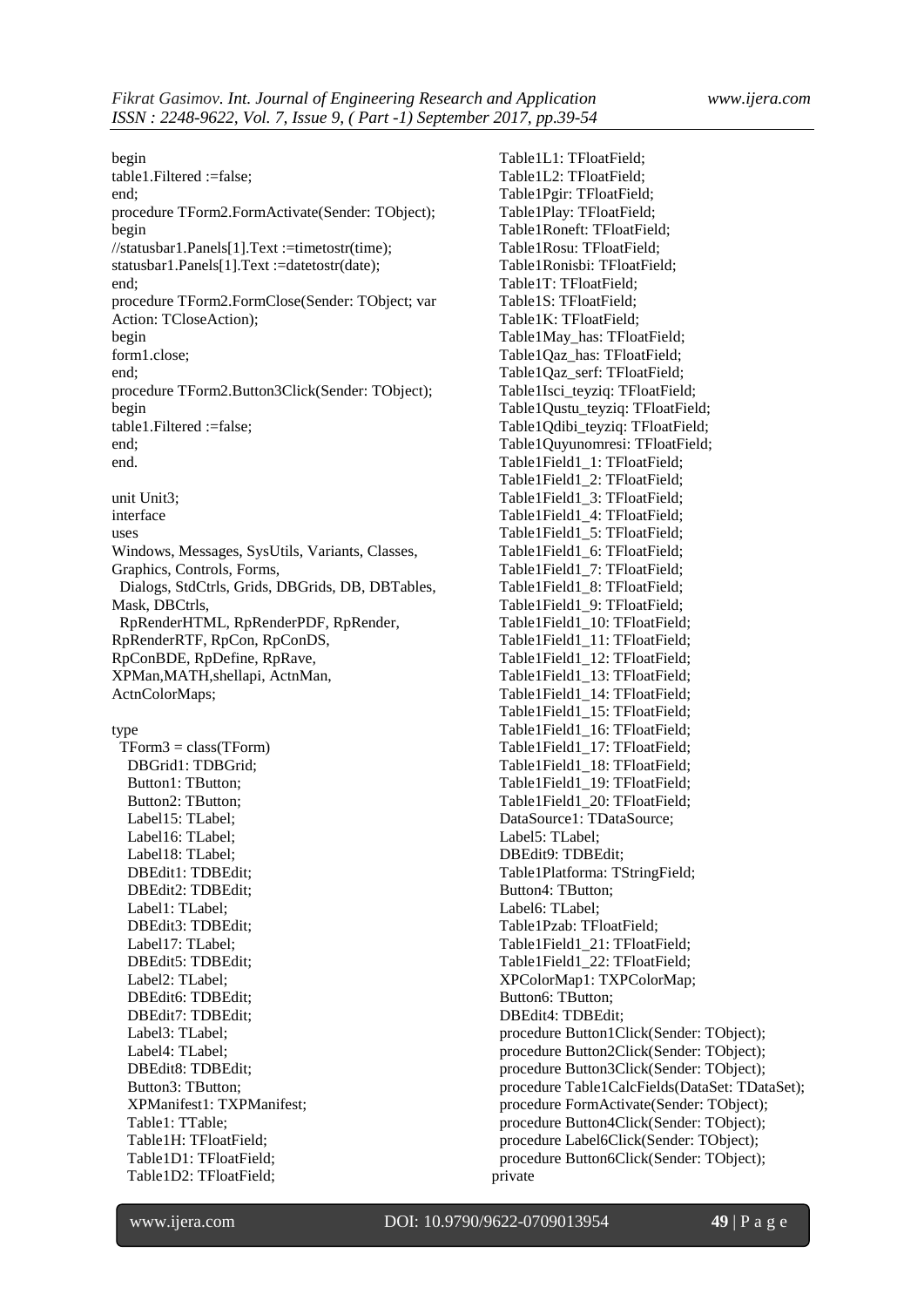begin table1.Filtered :=false; end; procedure TForm2.FormActivate(Sender: TObject); begin //statusbar1.Panels[1].Text :=timetostr(time); statusbar1.Panels[1].Text :=datetostr(date); end; procedure TForm2.FormClose(Sender: TObject; var Action: TCloseAction); begin form1.close; end; procedure TForm2.Button3Click(Sender: TObject); begin table1.Filtered :=false; end; end. unit Unit3; interface uses Windows, Messages, SysUtils, Variants, Classes, Graphics, Controls, Forms, Dialogs, StdCtrls, Grids, DBGrids, DB, DBTables, Mask, DBCtrls, RpRenderHTML, RpRenderPDF, RpRender, RpRenderRTF, RpCon, RpConDS, RpConBDE, RpDefine, RpRave, XPMan,MATH,shellapi, ActnMan, ActnColorMaps; type  $TForm3 = class(TForm)$ 

 DBGrid1: TDBGrid; Button1: TButton; Button2: TButton; Label15: TLabel; Label16: TLabel; Label18: TLabel; DBEdit1: TDBEdit; DBEdit2: TDBEdit; Label1: TLabel; DBEdit3: TDBEdit; Label17: TLabel; DBEdit5: TDBEdit; Label2: TLabel; DBEdit6: TDBEdit; DBEdit7: TDBEdit; Label3: TLabel; Label4: TLabel; DBEdit8: TDBEdit; Button3: TButton; XPManifest1: TXPManifest; Table1: TTable; Table1H: TFloatField; Table1D1: TFloatField; Table1D2: TFloatField;

 Table1L1: TFloatField; Table1L2: TFloatField; Table1Pgir: TFloatField; Table1Play: TFloatField; Table1Roneft: TFloatField; Table1Rosu: TFloatField; Table1Ronisbi: TFloatField; Table1T: TFloatField; Table1S: TFloatField; Table1K: TFloatField; Table1May\_has: TFloatField; Table1Qaz\_has: TFloatField; Table1Qaz\_serf: TFloatField; Table1Isci\_teyziq: TFloatField; Table1Qustu\_teyziq: TFloatField; Table1Qdibi\_teyziq: TFloatField; Table1Quyunomresi: TFloatField; Table1Field1\_1: TFloatField; Table1Field1\_2: TFloatField; Table1Field1\_3: TFloatField; Table1Field1\_4: TFloatField; Table1Field1\_5: TFloatField; Table1Field1\_6: TFloatField; Table1Field1\_7: TFloatField; Table1Field1\_8: TFloatField; Table1Field1\_9: TFloatField; Table1Field1\_10: TFloatField; Table1Field1\_11: TFloatField; Table1Field1\_12: TFloatField; Table1Field1\_13: TFloatField; Table1Field1\_14: TFloatField; Table1Field1\_15: TFloatField; Table1Field1\_16: TFloatField; Table1Field1\_17: TFloatField; Table1Field1\_18: TFloatField; Table1Field1\_19: TFloatField; Table1Field1\_20: TFloatField; DataSource1: TDataSource; Label5: TLabel; DBEdit9: TDBEdit; Table1Platforma: TStringField; Button4: TButton; Label6: TLabel; Table1Pzab: TFloatField; Table1Field1\_21: TFloatField; Table1Field1\_22: TFloatField; XPColorMap1: TXPColorMap; Button6: TButton; DBEdit4: TDBEdit; procedure Button1Click(Sender: TObject); procedure Button2Click(Sender: TObject); procedure Button3Click(Sender: TObject); procedure Table1CalcFields(DataSet: TDataSet); procedure FormActivate(Sender: TObject); procedure Button4Click(Sender: TObject); procedure Label6Click(Sender: TObject); procedure Button6Click(Sender: TObject); private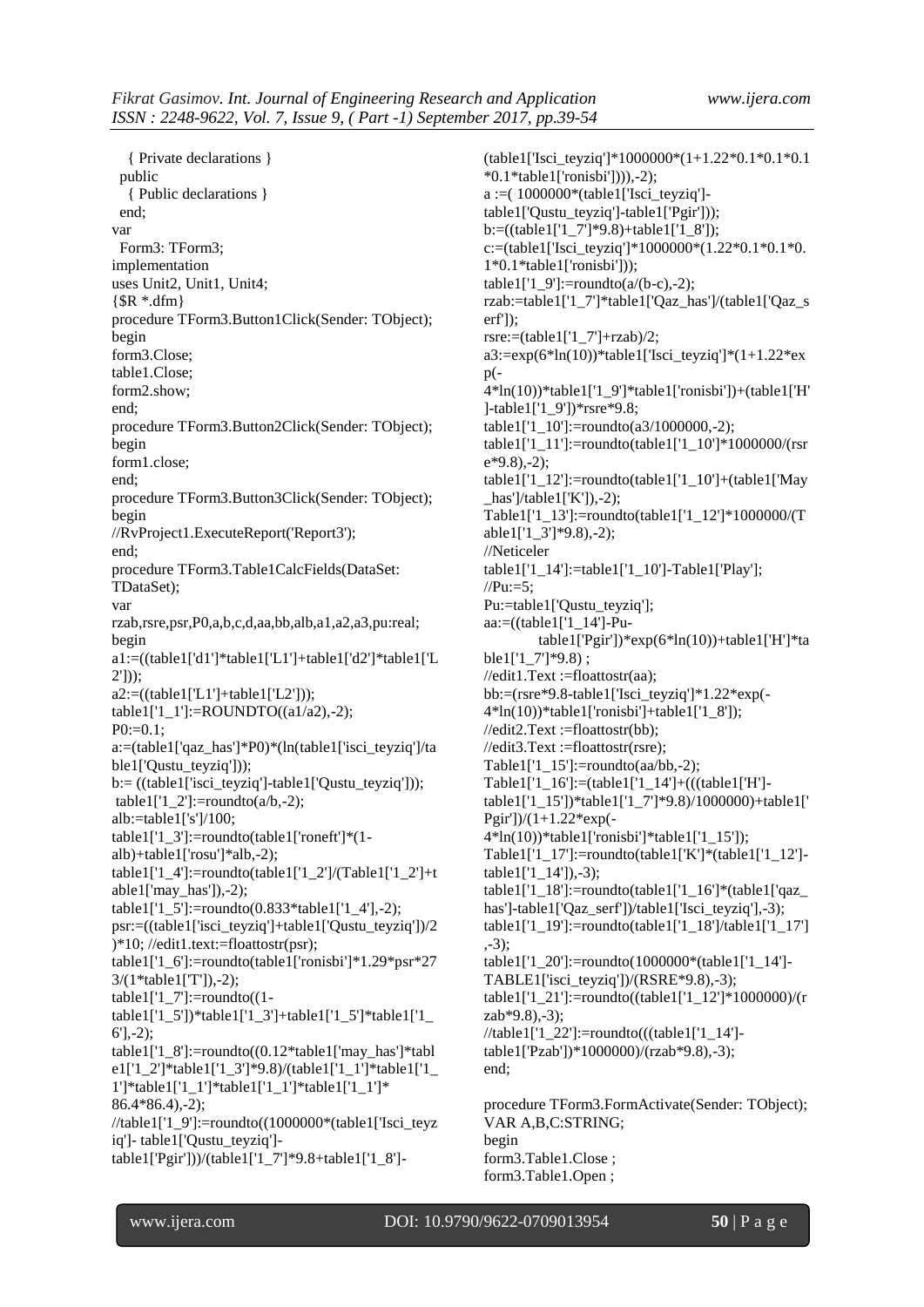{ Private declarations } public { Public declarations } end; var Form3: TForm3; implementation uses Unit2, Unit1, Unit4;  $\{SR * dfm\}$ procedure TForm3.Button1Click(Sender: TObject); begin form3.Close; table1.Close; form2.show; end; procedure TForm3.Button2Click(Sender: TObject); begin form1.close; end; procedure TForm3.Button3Click(Sender: TObject); begin //RvProject1.ExecuteReport('Report3'); end; procedure TForm3.Table1CalcFields(DataSet: TDataSet); var rzab,rsre,psr,P0,a,b,c,d,aa,bb,alb,a1,a2,a3,pu:real; begin a1:=((table1['d1']\*table1['L1']+table1['d2']\*table1['L 2'])); a2:=((table1['L1']+table1['L2'])); table1['1\_1']:=ROUNDTO((a1/a2),-2);  $P0:=0.1$ : a:=(table1['qaz\_has']\*P0)\*(ln(table1['isci\_teyziq']/ta ble1['Qustu\_teyziq']));  $b:=($ (table1['isci\_teyziq']-table1['Qustu\_teyziq'])); table1['1\_2']:=roundto( $a/b,-2$ ); alb:=table1['s']/100; table1['1\_3']:=roundto(table1['roneft']\*(1alb)+table1['rosu']\*alb,-2); table1['1\_4']:=roundto(table1['1\_2']/(Table1['1\_2']+t able1['may\_has']),-2); table1['1\_5']:=roundto(0.833\*table1['1\_4'],-2); psr:=((table1['isci\_teyziq']+table1['Qustu\_teyziq'])/2 )\*10; //edit1.text:=floattostr(psr); table1['1\_6']:=roundto(table1['ronisbi']\*1.29\*psr\*27 3/(1\*table1['T']),-2); table1 $[1 7']$ :=roundto $(1$ table1['1\_5'])\*table1['1\_3']+table1['1\_5']\*table1['1\_  $6'$ ],-2); table1['1\_8']:=roundto((0.12\*table1['may\_has']\*tabl e1['1\_2']\*table1['1\_3']\*9.8)/(table1['1\_1']\*table1['1\_ 1']\*table1['1\_1']\*table1['1\_1']\*table1['1\_1']\* 86.4\*86.4),-2); //table1['1\_9']:=roundto((1000000\*(table1['Isci\_teyz iq']- table1['Qustu\_teyziq'] table1['Pgir']))/(table1['1\_7']\*9.8+table1['1\_8']-

(table1['Isci\_teyziq']\*1000000\*(1+1.22\*0.1\*0.1\*0.1 \*0.1\*table1['ronisbi']))),-2); a :=( 1000000\*(table1['Isci\_teyziq'] table1['Qustu\_teyziq']-table1['Pgir'])); b:=((table1['1\_7']\*9.8)+table1['1\_8']); c:=(table1['Isci\_teyziq']\*1000000\*(1.22\*0.1\*0.1\*0. 1\*0.1\*table1['ronisbi'])); table1['1\_9']:=roundto( $a/(b-c)$ ,-2); rzab:=table1['1\_7']\*table1['Qaz\_has']/(table1['Qaz\_s erf']); rsre:= $(table1[1 7'] + rzab)/2$ ;  $a3:=exp(6*ln(10))*table1[Tsci_teyziq']*(1+1.22*ex)$  $p(-$ 4\*ln(10))\*table1['1\_9']\*table1['ronisbi'])+(table1['H' ]-table1['1\_9'])\*rsre\*9.8; table1['1\_10']:=roundto(a3/1000000,-2); table1['1\_11']:=roundto(table1['1\_10']\*1000000/(rsr e\*9.8),-2); table1['1\_12']:=roundto(table1['1\_10']+(table1['May \_has']/table1['K']),-2); Table1['1\_13']:=roundto(table1['1\_12']\*1000000/(T able1['1\_3']\*9.8),-2); //Neticeler table1['1\_14']:=table1['1\_10']-Table1['Play'];  $//Pu:=5;$ Pu:=table1['Qustu\_teyziq']; aa: $=($ (table $1$ [' $1$ ] $4$ ']-Putable1['Pgir'])\*exp(6\*ln(10))+table1['H']\*ta ble1['1  $7'$ ]\*9.8) ; //edit1.Text :=floattostr(aa); bb:=(rsre\*9.8-table1['Isci\_teyziq']\*1.22\*exp(-  $4*ln(10)*table1['ronisbi'] + table1['1_8']$ ; //edit2.Text :=floattostr(bb); //edit3.Text :=floattostr(rsre); Table1[' $1\quad15$ ']:=roundto(aa/bb,-2); Table1['1\_16']:=(table1['1\_14']+(((table1['H'] table1['1\_15'])\*table1['1\_7']\*9.8)/1000000)+table1[' Pgir'])/ $(1+1.22*exp(-1))$  $4*ln(10)*table1['ronisbi']*table1['1_15']$ ; Table1['1\_17']:=roundto(table1['K']\*(table1['1\_12'] table1['1\_14']),-3); table1['1\_18']:=roundto(table1['1\_16']\*(table1['qaz\_ has']-table1['Qaz\_serf'])/table1['Isci\_teyziq'],-3); table1['1\_19']:=roundto(table1['1\_18']/table1['1\_17'] ,-3); table1['1\_20']:=roundto(1000000\*(table1['1\_14']-TABLE1['isci\_teyziq'])/(RSRE\*9.8),-3); table1['1\_21']:=roundto((table1['1\_12']\*1000000)/(r zab\*9.8),-3);  $//table1['1 22']$ :=roundto(((table1['1\_14']table1['Pzab'])\*1000000)/(rzab\*9.8),-3); end; procedure TForm3.FormActivate(Sender: TObject);

VAR A,B,C:STRING; begin form3.Table1.Close ; form3.Table1.Open ;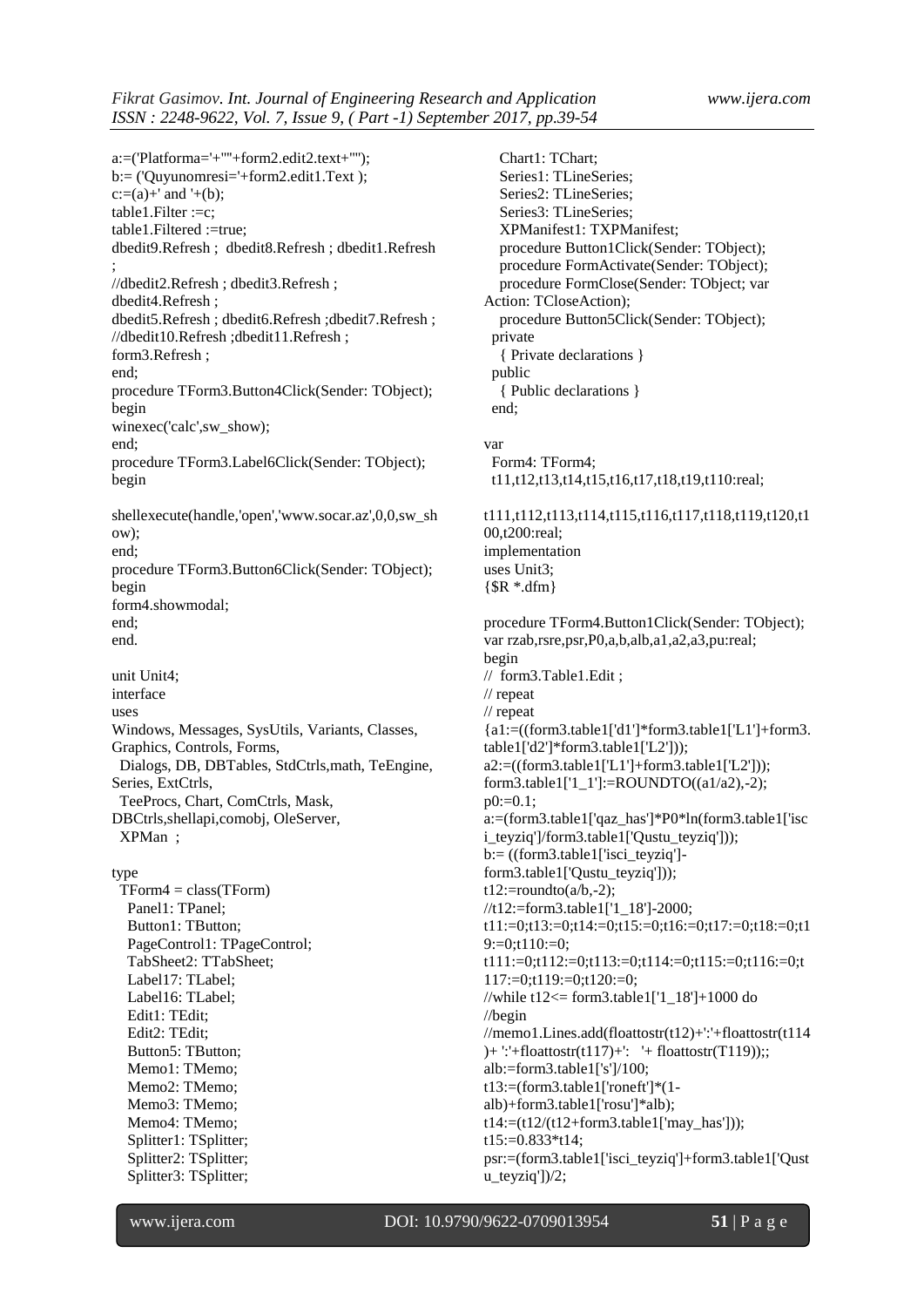a:=('Platforma='+''''+form2.edit2.text+''''); b:= ('Quyunomresi='+form2.edit1.Text );  $c:=(a)+'$  and  $'+(b)$ ; table1.Filter :=c; table1.Filtered :=true; dbedit9.Refresh ; dbedit8.Refresh ; dbedit1.Refresh ; //dbedit2.Refresh ; dbedit3.Refresh ; dbedit4.Refresh ; dbedit5.Refresh; dbedit6.Refresh; dbedit7.Refresh; //dbedit10.Refresh ;dbedit11.Refresh ; form3.Refresh ; end; procedure TForm3.Button4Click(Sender: TObject); begin winexec('calc',sw\_show); end; procedure TForm3.Label6Click(Sender: TObject); begin shellexecute(handle,'open','www.socar.az',0,0,sw\_sh ow); end; procedure TForm3.Button6Click(Sender: TObject); begin form4.showmodal; end; end. unit Unit4; interface uses Windows, Messages, SysUtils, Variants, Classes, Graphics, Controls, Forms, Dialogs, DB, DBTables, StdCtrls,math, TeEngine, Series, ExtCtrls, TeeProcs, Chart, ComCtrls, Mask, DBCtrls,shellapi,comobj, OleServer, XPMan ; type  $TForm4 = class(TForm)$  Panel1: TPanel; Button1: TButton; PageControl1: TPageControl; TabSheet2: TTabSheet; Label17: TLabel; Label16: TLabel; Edit1: TEdit; Edit2: TEdit; Button5: TButton; Memo1: TMemo; Memo2: TMemo; Memo3: TMemo; Memo4: TMemo;

 Chart1: TChart; Series1: TLineSeries; Series2: TLineSeries; Series3: TLineSeries; XPManifest1: TXPManifest; procedure Button1Click(Sender: TObject); procedure FormActivate(Sender: TObject); procedure FormClose(Sender: TObject; var Action: TCloseAction); procedure Button5Click(Sender: TObject); private { Private declarations } public { Public declarations } end; var Form4: TForm4; t11,t12,t13,t14,t15,t16,t17,t18,t19,t110:real; t111,t112,t113,t114,t115,t116,t117,t118,t119,t120,t1 00,t200:real; implementation uses Unit3;  $\{$  $\$  $R$   $*$ .dfm $\}$ procedure TForm4.Button1Click(Sender: TObject); var rzab,rsre,psr,P0,a,b,alb,a1,a2,a3,pu:real; begin // form3.Table1.Edit ; // repeat // repeat  ${a1:=((form3.table1['d1']*form3.table1['L1']+form3.$ table1['d2']\*form3.table1['L2'])); a2:=((form3.table1['L1']+form3.table1['L2'])); form3.table1['1\_1']:=ROUNDTO((a1/a2),-2);  $p0:=0.1$ ; a:=(form3.table1['qaz\_has']\*P0\*ln(form3.table1['isc i\_teyziq']/form3.table1['Qustu\_teyziq'])); b:= ((form3.table1['isci\_teyziq'] form3.table1['Qustu\_teyziq']));  $t12:=\text{roundto}(a/b,-2);$ //t12:=form3.table1['1\_18']-2000; t11:=0;t13:=0;t14:=0;t15:=0;t16:=0;t17:=0;t18:=0;t1 9:=0:t110:=0: t111:=0;t112:=0;t113:=0;t114:=0;t115:=0;t116:=0;t 117:=0;t119:=0;t120:=0; //while t12<= form3.table1['1\_18']+1000 do //begin //memo1.Lines.add(floattostr(t12)+':'+floattostr(t114 )+ ':'+floattostr(t117)+': '+ floattostr(T119));; alb:=form3.table1['s']/100; t13:=(form3.table1['roneft']\*(1 alb)+form3.table1['rosu']\*alb);  $t14:=(t12/(t12+form3.table1['may_has"));$ t15:=0.833\*t14; psr:=(form3.table1['isci\_teyziq']+form3.table1['Qust u\_teyziq'])/2;

 Splitter1: TSplitter; Splitter2: TSplitter; Splitter3: TSplitter;

www.ijera.com DOI: 10.9790/9622-0709013954 **51** | P a g e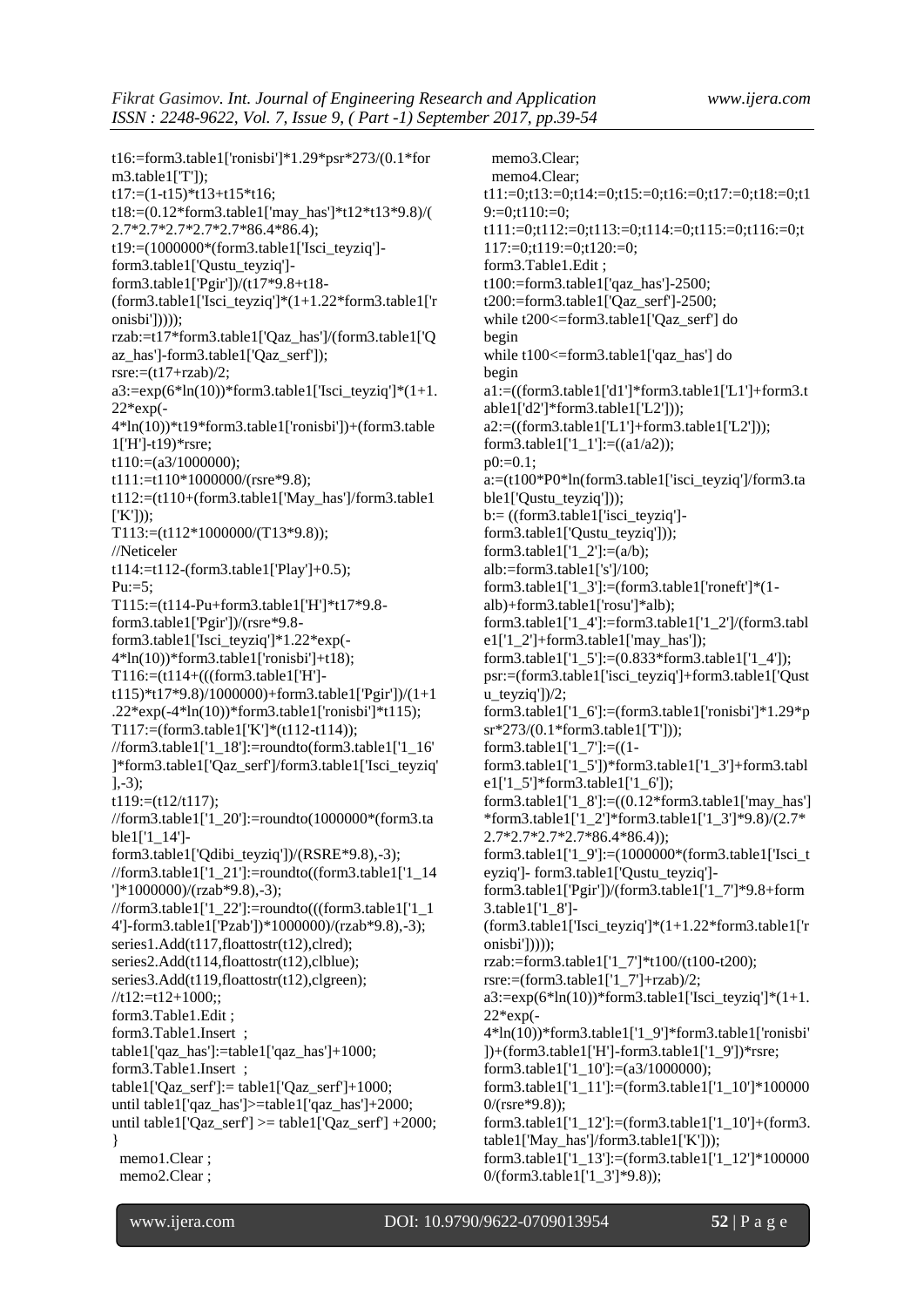t16:=form3.table1['ronisbi']\*1.29\*psr\*273/(0.1\*for m3.table1['T']); t17:=(1-t15)\*t13+t15\*t16; t18:= $(0.12*form3.table1['may has']*t12*t13*9.8)/($ 2.7\*2.7\*2.7\*2.7\*2.7\*86.4\*86.4); t19:=(1000000\*(form3.table1['Isci\_teyziq'] form3.table1['Qustu\_teyziq'] form3.table1['Pgir'])/(t17\*9.8+t18- (form3.table1['Isci\_teyziq']\*(1+1.22\*form3.table1['r onisbi'l)))); rzab:=t17\*form3.table1['Qaz\_has']/(form3.table1['Q az\_has']-form3.table1['Qaz\_serf']); rsre: $=(t17+rzab)/2$ ;  $a3:=exp(6*ln(10))*form3.table1[Tsci_teyziq']*(1+1.$ 22\*exp(- 4\*ln(10))\*t19\*form3.table1['ronisbi'])+(form3.table 1['H']-t19)\*rsre; t110:=(a3/1000000); t111:=t110\*1000000/(rsre\*9.8); t112:=(t110+(form3.table1['May\_has']/form3.table1  $[$ 'K'])); T113:=(t112\*1000000/(T13\*9.8)); //Neticeler  $t114:=t112$ -(form3.table1['Play']+0.5);  $Pu:=5;$ T115:=(t114-Pu+form3.table1['H']\*t17\*9.8 form3.table1['Pgir'])/(rsre\*9.8 form3.table1['Isci\_teyziq']\*1.22\*exp(- 4\*ln(10))\*form3.table1['ronisbi']+t18); T116:=(t114+(((form3.table1['H']  $t115$ <sup>\*</sup> $t17$ <sup>\*9.8</sup>)/1000000)+form3.table1['Pgir'])/(1+1 .22\*exp(-4\*ln(10))\*form3.table1['ronisbi']\*t115); T117:=(form3.table1['K']\*(t112-t114)); //form3.table1['1\_18']:=roundto(form3.table1['1\_16' ]\*form3.table1['Qaz\_serf']/form3.table1['Isci\_teyziq' ],-3); t119:=(t12/t117); //form3.table1['1\_20']:=roundto(1000000\*(form3.ta ble1['1\_14'] form3.table1['Qdibi\_teyziq'])/(RSRE\*9.8),-3); //form3.table1['1\_21']:=roundto((form3.table1['1\_14 ']\*1000000)/(rzab\*9.8),-3); //form3.table1['1\_22']:=roundto(((form3.table1['1\_1 4']-form3.table1['Pzab'])\*1000000)/(rzab\*9.8),-3); series1.Add(t117,floattostr(t12),clred); series2.Add(t114,floattostr(t12),clblue); series3.Add(t119,floattostr(t12),clgreen);  $//t12:=t12+1000::$ form3.Table1.Edit ; form3.Table1.Insert ; table1['qaz\_has']:=table1['qaz\_has']+1000; form3.Table1.Insert ; table1['Qaz\_serf']:= table1['Qaz\_serf']+1000; until table1['qaz\_has']>=table1['qaz\_has']+2000; until table1['Qaz\_serf']  $>=$  table1['Qaz\_serf']  $+2000$ ; } memo1.Clear ; memo2.Clear ;

 memo3.Clear; memo4.Clear; t11:=0;t13:=0;t14:=0;t15:=0;t16:=0;t17:=0;t18:=0;t1 9:=0:t110:=0: t111:=0;t112:=0;t113:=0;t114:=0;t115:=0;t116:=0;t 117:=0;t119:=0;t120:=0; form3.Table1.Edit ;  $t100:=$ form3.table1['qaz\_has']-2500: t200:=form3.table1 $[$ 'Qaz\_serf']-2500; while t200<=form3.table1['Qaz\_serf'] do begin while t100<=form3.table1['qaz\_has'] do begin a1:=((form3.table1['d1']\*form3.table1['L1']+form3.t able1['d2']\*form3.table1['L2']));  $a2:=((form3.table1[T1'] + form3.table1[T2']));$ form3.table1['1\_1']:=((a1/a2));  $p0:=0.1$ ; a:=(t100\*P0\*ln(form3.table1['isci\_teyziq']/form3.ta ble1['Qustu\_teyziq'])); b:= ((form3.table1['isci\_teyziq']form3.table1['Qustu\_teyziq'])); form3.table1[' $1_2$ ']:=(a/b); alb:=form3.table1['s']/100; form3.table1['1\_3']:=(form3.table1['roneft']\*(1alb)+form3.table1['rosu']\*alb); form3.table1['1\_4']:=form3.table1['1\_2']/(form3.tabl e1['1\_2']+form3.table1['may\_has']); form3.table1['1\_5']:= $(0.833*form3.table1[^14-4'])$ ; psr:=(form3.table1['isci\_teyziq']+form3.table1['Qust u\_teyziq'])/2; form3.table1['1\_6']:=(form3.table1['ronisbi']\*1.29\*p sr\*273/(0.1\*form3.table1['T'])); form3.table1['1\_7']:=((1 form3.table1['1\_5'])\*form3.table1['1\_3']+form3.tabl e1['1\_5']\*form3.table1['1\_6']); form3.table1['1\_8']:= $((0.12*form3.table1['may has')$ ] \*form3.table1['1\_2']\*form3.table1['1\_3']\*9.8)/(2.7\* 2.7\*2.7\*2.7\*2.7\*86.4\*86.4)); form3.table1['1\_9']:=(1000000\*(form3.table1['Isci\_t eyziq']- form3.table1['Qustu\_teyziq'] form3.table1['Pgir'])/(form3.table1['1\_7']\*9.8+form 3.table1['1\_8']- (form3.table1['Isci\_teyziq']\*(1+1.22\*form3.table1['r onisbi'l)))); rzab:=form3.table1['1\_7']\*t100/(t100-t200); rsre:= $(form3.table1['1 7']+rzab)/2$ ;  $a3:=exp(6*ln(10))*form3.table1['Isciteyziq']*(1+1.$ 22\*exp(- 4\*ln(10))\*form3.table1['1\_9']\*form3.table1['ronisbi' ])+(form3.table1['H']-form3.table1['1\_9'])\*rsre; form3.table1['1\_10']:=(a3/1000000); form3.table1['1\_11']:=(form3.table1['1\_10']\*100000 0/(rsre\*9.8)); form3.table1['1\_12']:=(form3.table1['1\_10']+(form3. table1['May\_has']/form3.table1['K'])); form3.table1['1\_13']:=(form3.table1['1\_12']\*100000 0/(form3.table1['1\_3']\*9.8));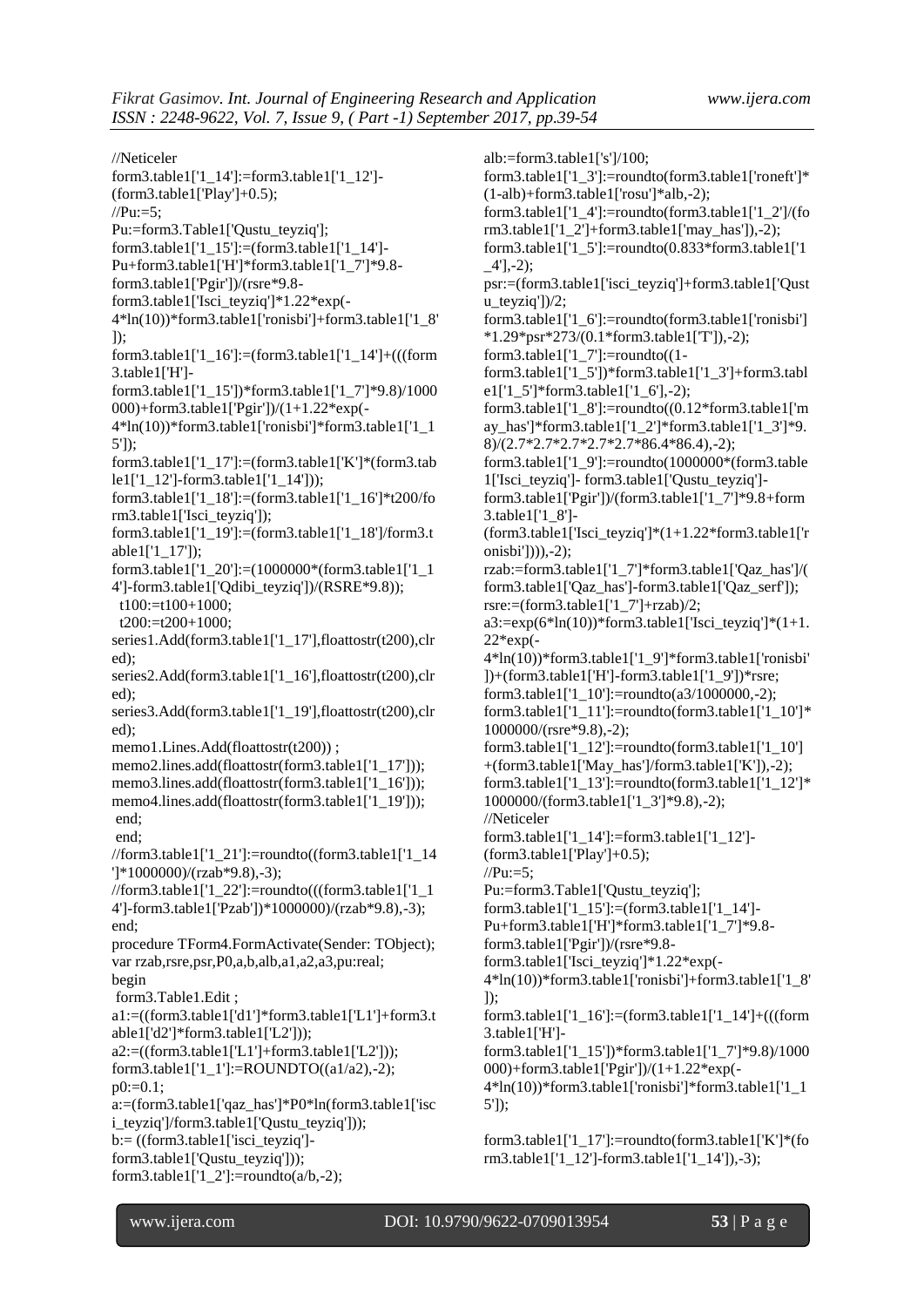//Neticeler form3.table1['1\_14']:=form3.table1['1\_12']-  $(from3.table1["Play'] + 0.5);$  $//Pu:=5:$ Pu:=form3.Table1['Qustu\_teyziq']; form3.table1['1\_15']:=(form3.table1['1\_14']- Pu+form3.table1['H']\*form3.table1['1\_7']\*9.8 form3.table1['Pgir'])/(rsre\*9.8 form3.table1['Isci\_teyziq']\*1.22\*exp(- 4\*ln(10))\*form3.table1['ronisbi']+form3.table1['1\_8'  $\cdot$ form3.table1['1\_16']:=(form3.table1['1\_14']+(((form 3.table1['H'] form3.table1['1\_15'])\*form3.table1['1\_7']\*9.8)/1000 000)+form3.table1['Pgir'])/(1+1.22\*exp(- 4\*ln(10))\*form3.table1['ronisbi']\*form3.table1['1\_1 5']); form3.table1['1\_17']:=(form3.table1['K']\*(form3.tab le1['1\_12']-form3.table1['1\_14'])); form3.table1['1\_18']:=(form3.table1['1\_16']\*t200/fo rm3.table1['Isci\_teyziq']); form3.table1['1\_19']:=(form3.table1['1\_18']/form3.t able1['1\_17']); form3.table1['1\_20']:=(1000000\*(form3.table1['1\_1 4']-form3.table1['Qdibi\_teyziq'])/(RSRE\*9.8)); t100:=t100+1000;  $t200:=t200+1000$ series1.Add(form3.table1['1\_17'],floattostr(t200),clr ed); series2.Add(form3.table1['1\_16'],floattostr(t200),clr ed); series3.Add(form3.table1['1\_19'],floattostr(t200),clr ed); memo1.Lines.Add(floattostr(t200)); memo2.lines.add(floattostr(form3.table1['1\_17'])); memo3.lines.add(floattostr(form3.table1['1\_16'])); memo4.lines.add(floattostr(form3.table1['1\_19'])); end; end; //form3.table1['1\_21']:=roundto((form3.table1['1\_14 ']\*1000000)/(rzab\*9.8),-3); //form3.table1['1\_22']:=roundto(((form3.table1['1\_1 4']-form3.table1['Pzab'])\*1000000)/(rzab\*9.8),-3); end; procedure TForm4.FormActivate(Sender: TObject); var rzab,rsre,psr,P0,a,b,alb,a1,a2,a3,pu:real; begin form3.Table1.Edit ; a1:=((form3.table1['d1']\*form3.table1['L1']+form3.t able1['d2']\*form3.table1['L2']));  $a2:=((form3.table1[T1'] + form3.table1[T2'])$ ; form3.table1['1\_1']:=ROUNDTO((a1/a2),-2);  $p0:=0.1$ ; a:=(form3.table1['qaz\_has']\*P0\*ln(form3.table1['isc i\_teyziq']/form3.table1['Qustu\_teyziq'])); b:= ((form3.table1['isci\_teyziq'] form3.table1['Qustu\_teyziq'])); form3.table1[' $1_2$ ']:=roundto(a/b,-2); alb:=form3.table1['s']/100; form3.table1['1\_3']:=roundto(form3.table1['roneft']\* (1-alb)+form3.table1['rosu']\*alb,-2); form3.table1['1\_4']:=roundto(form3.table1['1\_2']/(fo rm3.table1['1\_2']+form3.table1['may\_has']),-2); form3.table1[' $1\,5'$ ]:=roundto(0.833\*form3.table1['1] \_4'],-2); psr:=(form3.table1['isci\_teyziq']+form3.table1['Qust u\_teyziq'])/2; form3.table1['1\_6']:=roundto(form3.table1['ronisbi'] \*1.29\*psr\*273/(0.1\*form3.table1['T']),-2); form3.table1['1\_7']:=roundto((1 form3.table1['1\_5'])\*form3.table1['1\_3']+form3.tabl e1['1\_5']\*form3.table1['1\_6'],-2); form3.table1['1\_8']:=roundto((0.12\*form3.table1['m ay\_has']\*form3.table1['1\_2']\*form3.table1['1\_3']\*9. 8)/(2.7\*2.7\*2.7\*2.7\*2.7\*86.4\*86.4),-2); form3.table1['1\_9']:=roundto(1000000\*(form3.table 1['Isci\_teyziq']- form3.table1['Qustu\_teyziq'] form3.table1['Pgir'])/(form3.table1['1\_7']\*9.8+form 3.table1['1\_8']- (form3.table1['Isci\_teyziq']\*(1+1.22\*form3.table1['r onisbi']))),-2); rzab:=form3.table1['1\_7']\*form3.table1['Qaz\_has']/( form3.table1['Qaz\_has']-form3.table1['Qaz\_serf']); rsre:= $(form3.table1['1 7']+rzab)/2$ ; a3:=exp(6\*ln(10))\*form3.table1['Isci\_teyziq']\*(1+1. 22\*exp(- 4\*ln(10))\*form3.table1['1\_9']\*form3.table1['ronisbi' ])+(form3.table1['H']-form3.table1['1\_9'])\*rsre; form3.table1['1\_10']:=roundto(a3/1000000,-2); form3.table1['1\_11']:=roundto(form3.table1['1\_10']\* 1000000/(rsre\*9.8),-2); form3.table1['1\_12']:=roundto(form3.table1['1\_10'] +(form3.table1['May\_has']/form3.table1['K']),-2); form3.table1['1\_13']:=roundto(form3.table1['1\_12']\* 1000000/(form3.table1['1\_3']\*9.8),-2); //Neticeler form3.table1['1\_14']:=form3.table1['1\_12']-  $(from3.table1['Play'] + 0.5);$  $//Pu:=5:$ Pu:=form3.Table1['Qustu\_teyziq']; form3.table1['1\_15']:=(form3.table1['1\_14']- Pu+form3.table1['H']\*form3.table1['1\_7']\*9.8 form3.table1['Pgir'])/(rsre\*9.8 form3.table1['Isci\_teyziq']\*1.22\*exp(- 4\*ln(10))\*form3.table1['ronisbi']+form3.table1['1\_8' ]); form3.table1['1\_16']:=(form3.table1['1\_14']+(((form 3.table1['H'] form3.table1['1\_15'])\*form3.table1['1\_7']\*9.8)/1000 000)+form3.table1['Pgir'])/(1+1.22\*exp(- 4\*ln(10))\*form3.table1['ronisbi']\*form3.table1['1\_1 5']); form3.table1['1\_17']:=roundto(form3.table1['K']\*(fo rm3.table1['1\_12']-form3.table1['1\_14']),-3);